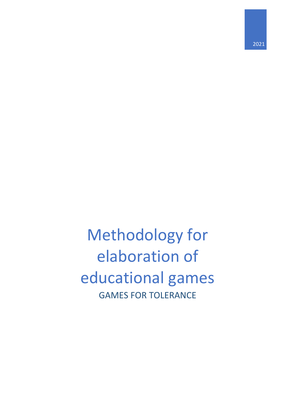2021

# Methodology for elaboration of educational games GAMES FOR TOLERANCE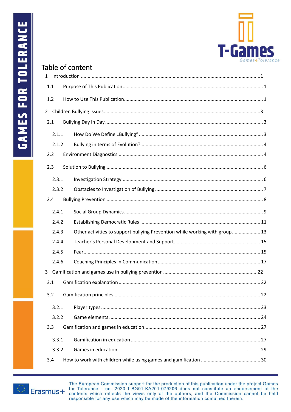

# Table of content

|     | 1.1   |  |                                                                             |  |
|-----|-------|--|-----------------------------------------------------------------------------|--|
| 1.2 |       |  |                                                                             |  |
|     |       |  |                                                                             |  |
| 2.1 |       |  |                                                                             |  |
|     | 2.1.1 |  |                                                                             |  |
|     | 2.1.2 |  |                                                                             |  |
| 2.2 |       |  |                                                                             |  |
| 2.3 |       |  |                                                                             |  |
|     | 2.3.1 |  |                                                                             |  |
|     | 2.3.2 |  |                                                                             |  |
|     | 2.4   |  |                                                                             |  |
|     | 2.4.1 |  |                                                                             |  |
|     | 2.4.2 |  |                                                                             |  |
|     | 2.4.3 |  | Other activities to support bullying Prevention while working with group 13 |  |
|     | 2.4.4 |  |                                                                             |  |
|     | 2.4.5 |  |                                                                             |  |
|     | 2.4.6 |  |                                                                             |  |
| 3   |       |  |                                                                             |  |
| 3.1 |       |  |                                                                             |  |
|     | 3.2   |  |                                                                             |  |
|     | 3.2.1 |  |                                                                             |  |
|     | 3.2.2 |  |                                                                             |  |
| 3.3 |       |  |                                                                             |  |
|     | 3.3.1 |  |                                                                             |  |
|     | 3.3.2 |  |                                                                             |  |
| 3.4 |       |  |                                                                             |  |

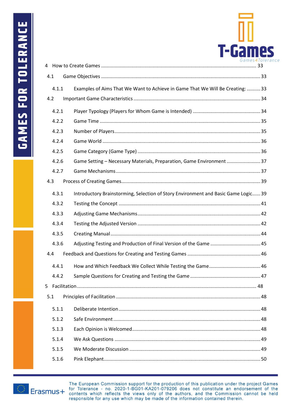

| 4.1            |                                                                                    |  |
|----------------|------------------------------------------------------------------------------------|--|
| 4.1.1          | Examples of Aims That We Want to Achieve in Game That We Will Be Creating:  33     |  |
| 4.2            |                                                                                    |  |
| 4.2.1          |                                                                                    |  |
| 4.2.2          |                                                                                    |  |
| 4.2.3          |                                                                                    |  |
| 4.2.4          |                                                                                    |  |
| 4.2.5          |                                                                                    |  |
| 4.2.6          | Game Setting - Necessary Materials, Preparation, Game Environment  37              |  |
| 4.2.7          |                                                                                    |  |
| 4.3            |                                                                                    |  |
| 4.3.1          | Introductory Brainstorming, Selection of Story Environment and Basic Game Logic 39 |  |
| 4.3.2          |                                                                                    |  |
| 4.3.3          |                                                                                    |  |
| 4.3.4          |                                                                                    |  |
| 4.3.5          |                                                                                    |  |
| 4.3.6          |                                                                                    |  |
| 4.4            |                                                                                    |  |
| 4.4.1          |                                                                                    |  |
| 4.4.2          |                                                                                    |  |
| 5 <sup>1</sup> |                                                                                    |  |
| 5.1            |                                                                                    |  |
| 5.1.1          |                                                                                    |  |
| 5.1.2          |                                                                                    |  |
| 5.1.3          |                                                                                    |  |
| 5.1.4          |                                                                                    |  |
| 5.1.5          |                                                                                    |  |
| 5.1.6          |                                                                                    |  |
|                |                                                                                    |  |

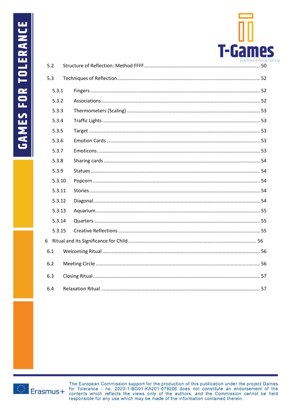

| 5.2   |        |  |  |  |  |  |
|-------|--------|--|--|--|--|--|
| 5.3   |        |  |  |  |  |  |
| 5.3.1 |        |  |  |  |  |  |
| 5.3.2 |        |  |  |  |  |  |
| 5.3.3 |        |  |  |  |  |  |
| 5.3.4 |        |  |  |  |  |  |
| 5.3.5 |        |  |  |  |  |  |
| 5.3.6 |        |  |  |  |  |  |
| 5.3.7 |        |  |  |  |  |  |
| 5.3.8 |        |  |  |  |  |  |
| 5.3.9 |        |  |  |  |  |  |
|       | 5.3.10 |  |  |  |  |  |
|       | 5.3.11 |  |  |  |  |  |
|       | 5.3.12 |  |  |  |  |  |
|       | 5.3.13 |  |  |  |  |  |
|       | 5.3.14 |  |  |  |  |  |
|       | 5.3.15 |  |  |  |  |  |
| 6     |        |  |  |  |  |  |
| 6.1   |        |  |  |  |  |  |
| 6.2   |        |  |  |  |  |  |
| 6.3   |        |  |  |  |  |  |
| 6.4   |        |  |  |  |  |  |

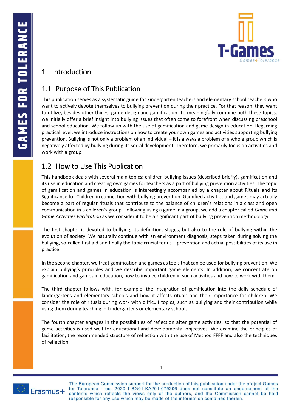

# <span id="page-4-0"></span>1 Introduction

# <span id="page-4-1"></span>1.1 Purpose of This Publication

This publication serves as a systematic guide for kindergarten teachers and elementary school teachers who want to actively devote themselves to bullying prevention during their practice. For that reason, they want to utilize, besides other things, game design and gamification. To meaningfully combine both these topics, we initially offer a brief insight into bullying issues that often come to forefront when discussing preschool and school education. We follow up with the use of gamification and game design in education. Regarding practical level, we introduce instructions on how to create your own games and activities supporting bullying prevention. Bullying is not only a problem of an individual – it is always a problem of a whole group which is negatively affected by bullying during its social development. Therefore, we primarily focus on activities and work with a group.

# <span id="page-4-2"></span>1.2 How to Use This Publication

This handbook deals with several main topics: children bullying issues (described briefly), gamification and its use in education and creating own games for teachers as a part of bullying prevention activities. The topic of gamification and games in education is interestingly accompanied by a chapter about Rituals and Its Significance for Children in connection with bullying prevention. Gamified activities and games may actually become a part of regular rituals that contribute to the balance of children's relations in a class and open communication in a children's group. Following using a game in a group, we add a chapter called *Game and Game Activities Facilitation* as we consider it to be a significant part of bullying prevention methodology.

The first chapter is devoted to bullying, its definition, stages, but also to the role of bullying within the evolution of society. We naturally continue with an environment diagnosis, steps taken during solving the bullying, so-called first aid and finally the topic crucial for us – prevention and actual possibilities of its use in practice.

In the second chapter, we treat gamification and games as tools that can be used for bullying prevention. We explain bullying's principles and we describe important game elements. In addition, we concentrate on gamification and games in education, how to involve children in such activities and how to work with them.

The third chapter follows with, for example, the integration of gamification into the daily schedule of kindergartens and elementary schools and how it affects rituals and their importance for children. We consider the role of rituals during work with difficult topics, such as bullying and their contribution while using them during teaching in kindergartens or elementary schools.

The fourth chapter engages in the possibilities of reflection after game activities, so that the potential of game activities is used well for educational and developmental objectives. We examine the principles of facilitation, the recommended structure of reflection with the use of Method FFFF and also the techniques of reflection.



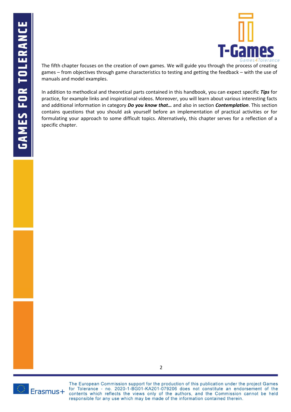

The fifth chapter focuses on the creation of own games. We will guide you through the process of creating games – from objectives through game characteristics to testing and getting the feedback – with the use of manuals and model examples.

In addition to methodical and theoretical parts contained in this handbook, you can expect specific *Tips* for practice, for example links and inspirational videos. Moreover, you will learn about various interesting facts and additional information in category *Do you know that…* and also in section *Contemplation*. This section contains questions that you should ask yourself before an implementation of practical activities or for formulating your approach to some difficult topics. Alternatively, this chapter serves for a reflection of a specific chapter.

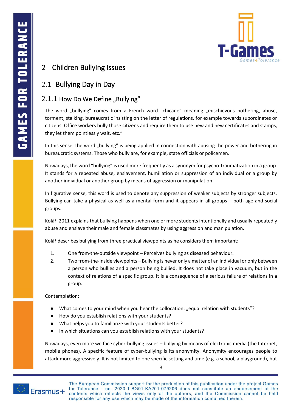

# <span id="page-6-0"></span>2 Children Bullying Issues

# <span id="page-6-1"></span>2.1 Bullying Day in Day

# <span id="page-6-2"></span> $2.1.1$  How Do We Define "Bullying"

The word "bullying" comes from a French word "chicane" meaning "mischievous bothering, abuse, torment, stalking, bureaucratic insisting on the letter of regulations, for example towards subordinates or citizens. Office workers bully those citizens and require them to use new and new certificates and stamps, they let them pointlessly wait, etc."

In this sense, the word "bullying" is being applied in connection with abusing the power and bothering in bureaucratic systems. Those who bully are, for example, state officials or policemen.

Nowadays, the word "bullying" is used more frequently as a synonym for psycho-traumatization in a group. It stands for a repeated abuse, enslavement, humiliation or suppression of an individual or a group by another individual or another group by means of aggression or manipulation.

In figurative sense, this word is used to denote any suppression of weaker subjects by stronger subjects. Bullying can take a physical as well as a mental form and it appears in all groups – both age and social groups.

Kolář, 2011 explains that bullying happens when one or more students intentionally and usually repeatedly abuse and enslave their male and female classmates by using aggression and manipulation.

Kolář describes bullying from three practical viewpoints as he considers them important:

- 1. One from-the-outside viewpoint Perceives bullying as diseased behaviour.
- 2. Two from-the-inside viewpoints Bullying is never only a matter of an individual or only between a person who bullies and a person being bullied. It does not take place in vacuum, but in the context of relations of a specific group. It is a consequence of a serious failure of relations in a group.

Contemplation:

- What comes to your mind when you hear the collocation: "equal relation with students"?
- How do you establish relations with your students?
- What helps you to familiarize with your students better?
- In which situations can you establish relations with your students?

Nowadays, even more we face cyber-bullying issues – bullying by means of electronic media (the Internet, mobile phones). A specific feature of cyber-bullying is its anonymity. Anonymity encourages people to attack more aggressively. It is not limited to one specific setting and time (e.g. a school, a playground), but



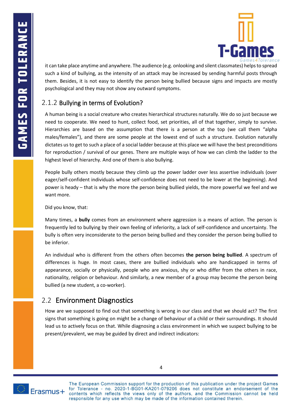

it can take place anytime and anywhere. The audience (e.g. onlooking and silent classmates) helps to spread such a kind of bullying, as the intensity of an attack may be increased by sending harmful posts through them. Besides, it is not easy to identify the person being bullied because signs and impacts are mostly psychological and they may not show any outward symptoms.

# <span id="page-7-0"></span>2.1.2 Bullying in terms of Evolution?

A human being is a social creature who creates hierarchical structures naturally. We do so just because we need to cooperate. We need to hunt, collect food, set priorities, all of that together, simply to survive. Hierarchies are based on the assumption that there is a person at the top (we call them "alpha males/females"), and there are some people at the lowest end of such a structure. Evolution naturally dictates us to get to such a place of a social ladder because at this place we will have the best preconditions for reproduction / survival of our genes. There are multiple ways of how we can climb the ladder to the highest level of hierarchy. And one of them is also bullying.

People bully others mostly because they climb up the power ladder over less assertive individuals (over eager/self-confident individuals whose self-confidence does not need to be lower at the beginning). And power is heady – that is why the more the person being bullied yields, the more powerful we feel and we want more.

Did you know, that:

Many times, a **bully** comes from an environment where aggression is a means of action. The person is frequently led to bullying by their own feeling of inferiority, a lack of self-confidence and uncertainty. The bully is often very inconsiderate to the person being bullied and they consider the person being bullied to be inferior.

An individual who is different from the others often becomes **the person being bullied**. A spectrum of differences is huge. In most cases, there are bullied individuals who are handicapped in terms of appearance, socially or physically, people who are anxious, shy or who differ from the others in race, nationality, religion or behaviour. And similarly, a new member of a group may become the person being bullied (a new student, a co-worker).

# <span id="page-7-1"></span>2.2 Environment Diagnostics

How are we supposed to find out that something is wrong in our class and that we should act? The first signs that something is going on might be a change of behaviour of a child or their surroundings. It should lead us to actively focus on that. While diagnosing a class environment in which we suspect bullying to be present/prevalent, we may be guided by direct and indirect indicators:



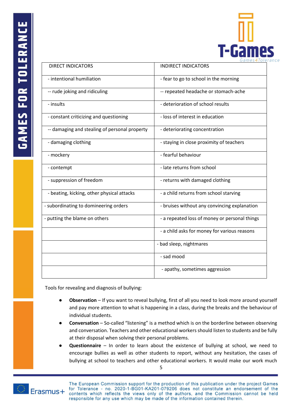

| <b>DIRECT INDICATORS</b>                      | <b>INDIRECT INDICATORS</b>                    |
|-----------------------------------------------|-----------------------------------------------|
| - intentional humiliation                     | - fear to go to school in the morning         |
| -- rude joking and ridiculing                 | -- repeated headache or stomach-ache          |
| - insults                                     | - deterioration of school results             |
| - constant criticizing and questioning        | - loss of interest in education               |
| -- damaging and stealing of personal property | - deteriorating concentration                 |
| - damaging clothing                           | - staying in close proximity of teachers      |
| - mockery                                     | - fearful behaviour                           |
| - contempt                                    | - late returns from school                    |
| - suppression of freedom                      | - returns with damaged clothing               |
| - beating, kicking, other physical attacks    | - a child returns from school starving        |
| - subordinating to domineering orders         | - bruises without any convincing explanation  |
| - putting the blame on others                 | - a repeated loss of money or personal things |
|                                               | - a child asks for money for various reasons  |
|                                               | - bad sleep, nightmares                       |
|                                               | - sad mood                                    |
|                                               | - apathy, sometimes aggression                |

Tools for revealing and diagnosis of bullying:

- **Observation** If you want to reveal bullying, first of all you need to look more around yourself and pay more attention to what is happening in a class, during the breaks and the behaviour of individual students.
- **Conversation** So-called "listening" is a method which is on the borderline between observing and conversation. Teachers and other educational workers should listen to students and be fully at their disposal when solving their personal problems.
- **Questionnaire**  In order to learn about the existence of bullying at school, we need to encourage bullies as well as other students to report, without any hesitation, the cases of bullying at school to teachers and other educational workers. It would make our work much

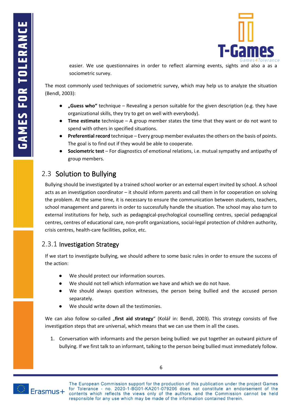

easier. We use questionnaires in order to reflect alarming events, sights and also a as a sociometric survey.

The most commonly used techniques of sociometric survey, which may help us to analyze the situation (Bendl, 2003):

- **"Guess who"** technique Revealing a person suitable for the given description (e.g. they have organizational skills, they try to get on well with everybody).
- **Time estimate** technique A group member states the time that they want or do not want to spend with others in specified situations.
- **Preferential record** technique Every group member evaluates the others on the basis of points. The goal is to find out if they would be able to cooperate.
- **Sociometric test** For diagnostics of emotional relations, i.e. mutual sympathy and antipathy of group members.

# <span id="page-9-0"></span>2.3 Solution to Bullying

Bullying should be investigated by a trained school worker or an external expert invited by school. A school acts as an investigation coordinator – it should inform parents and call them in for cooperation on solving the problem. At the same time, it is necessary to ensure the communication between students, teachers, school management and parents in order to successfully handle the situation. The school may also turn to external institutions for help, such as pedagogical-psychological counselling centres, special pedagogical centres, centres of educational care, non-profit organizations, social-legal protection of children authority, crisis centres, health-care facilities, police, etc.

### <span id="page-9-1"></span>2.3.1 Investigation Strategy

If we start to investigate bullying, we should adhere to some basic rules in order to ensure the success of the action:

- We should protect our information sources.
- We should not tell which information we have and which we do not have.
- We should always question witnesses, the person being bullied and the accused person separately.
- We should write down all the testimonies.

We can also follow so-called "first aid strategy" (Kolář in: Bendl, 2003). This strategy consists of five investigation steps that are universal, which means that we can use them in all the cases.

1. Conversation with informants and the person being bullied: we put together an outward picture of bullying. If we first talk to an informant, talking to the person being bullied must immediately follow.

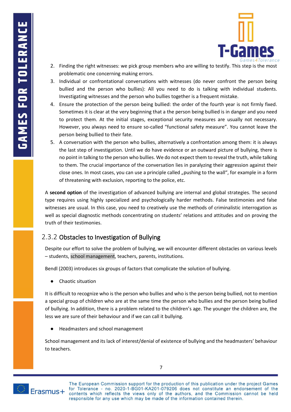

- 2. Finding the right witnesses: we pick group members who are willing to testify. This step is the most problematic one concerning making errors.
- 3. Individual or confrontational conversations with witnesses (do never confront the person being bullied and the person who bullies): All you need to do is talking with individual students. Investigating witnesses and the person who bullies together is a frequent mistake.
- 4. Ensure the protection of the person being bullied: the order of the fourth year is not firmly fixed. Sometimes it is clear at the very beginning that a the person being bullied is in danger and you need to protect them. At the initial stages, exceptional security measures are usually not necessary. However, you always need to ensure so-called "functional safety measure". You cannot leave the person being bullied to their fate.
- 5. A conversation with the person who bullies, alternatively a confrontation among them: it is always the last step of investigation. Until we do have evidence or an outward picture of bullying, there is no point in talking to the person who bullies. We do not expect them to reveal the truth, while talking to them. The crucial importance of the conversation lies in paralyzing their aggression against their close ones. In most cases, you can use a principle called "pushing to the wall", for example in a form of threatening with exclusion, reporting to the police, etc.

A **second option** of the investigation of advanced bullying are internal and global strategies. The second type requires using highly specialized and psychologically harder methods. False testimonies and false witnesses are usual. In this case, you need to creatively use the methods of criminalistic interrogation as well as special diagnostic methods concentrating on students' relations and attitudes and on proving the truth of their testimonies.

# <span id="page-10-0"></span>2.3.2 Obstacles to Investigation of Bullying

Despite our effort to solve the problem of bullying, we will encounter different obstacles on various levels – students, school management, teachers, parents, institutions.

Bendl (2003) introduces six groups of factors that complicate the solution of bullying.

● Chaotic situation

It is difficult to recognize who is the person who bullies and who is the person being bullied, not to mention a special group of children who are at the same time the person who bullies and the person being bullied of bullying. In addition, there is a problem related to the children's age. The younger the children are, the less we are sure of their behaviour and if we can call it bullying.

● Headmasters and school management

School management and its lack of interest/denial of existence of bullying and the headmasters' behaviour to teachers.



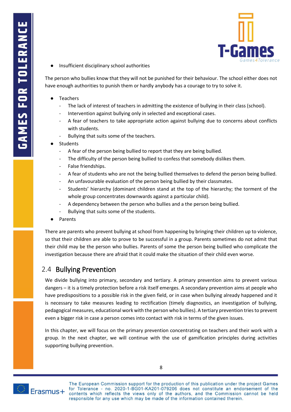

Insufficient disciplinary school authorities

The person who bullies know that they will not be punished for their behaviour. The school either does not have enough authorities to punish them or hardly anybody has a courage to try to solve it.

- **Teachers** 
	- The lack of interest of teachers in admitting the existence of bullying in their class (school).
	- Intervention against bullying only in selected and exceptional cases.
	- A fear of teachers to take appropriate action against bullying due to concerns about conflicts with students.
	- Bullying that suits some of the teachers.
- **Students** 
	- A fear of the person being bullied to report that they are being bullied.
	- The difficulty of the person being bullied to confess that somebody dislikes them.
	- False friendships.
	- A fear of students who are not the being bullied themselves to defend the person being bullied.
	- An unfavourable evaluation of the person being bullied by their classmates.
	- Students' hierarchy (dominant children stand at the top of the hierarchy; the torment of the whole group concentrates downwards against a particular child).
	- A dependency between the person who bullies and a the person being bullied.
	- Bullying that suits some of the students.
- **Parents**

There are parents who prevent bullying at school from happening by bringing their children up to violence, so that their children are able to prove to be successful in a group. Parents sometimes do not admit that their child may be the person who bullies. Parents of some the person being bullied who complicate the investigation because there are afraid that it could make the situation of their child even worse.

# <span id="page-11-0"></span>2.4 Bullying Prevention

We divide bullying into primary, secondary and tertiary. A primary prevention aims to prevent various dangers – it is a timely protection before a risk itself emerges. A secondary prevention aims at people who have predispositions to a possible risk in the given field, or in case when bullying already happened and it is necessary to take measures leading to rectification (timely diagnostics, an investigation of bullying, pedagogical measures, educational work with the person who bullies). A tertiary prevention tries to prevent even a bigger risk in case a person comes into contact with risk in terms of the given issues.

In this chapter, we will focus on the primary prevention concentrating on teachers and their work with a group. In the next chapter, we will continue with the use of gamification principles during activities supporting bullying prevention.

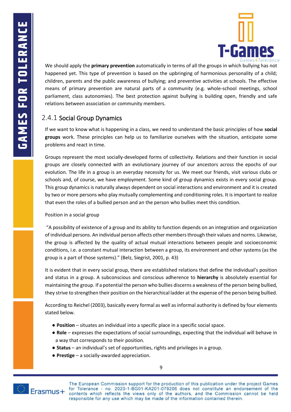

We should apply the **primary prevention** automatically in terms of all the groups in which bullying has not happened yet. This type of prevention is based on the upbringing of harmonious personality of a child; children, parents and the public awareness of bullying; and preventive activities at schools. The effective means of primary prevention are natural parts of a community (e.g. whole-school meetings, school parliament, class autonomies). The best protection against bullying is building open, friendly and safe relations between association or community members.

# <span id="page-12-0"></span>2.4.1 Social Group Dynamics

If we want to know what is happening in a class, we need to understand the basic principles of how **social groups** work. These principles can help us to familiarize ourselves with the situation, anticipate some problems and react in time.

Groups represent the most socially-developed forms of collectivity. Relations and their function in social groups are closely connected with an evolutionary journey of our ancestors across the epochs of our evolution. The life in a group is an everyday necessity for us. We meet our friends, visit various clubs or schools and, of course, we have employment. Some kind of group dynamics exists in every social group. This group dynamics is naturally always dependent on social interactions and environment and it is created by two or more persons who play mutually complementing and conditioning roles. It is important to realize that even the roles of a bullied person and an the person who bullies meet this condition.

#### Position in a social group

"A possibility of existence of a group and its ability to function depends on an integration and organization of individual persons. An individual person affects other members through their values and norms. Likewise, the group is affected by the quality of actual mutual interactions between people and socioeconomic conditions, i.e. a constant mutual interaction between a group, its environment and other systems (as the group is a part of those systems)." (Belz, Siegrist, 2001, p. 43)

It is evident that in every social group, there are established relations that define the individual's position and status in a group. A subconscious and conscious adherence to **hierarchy** is absolutely essential for maintaining the group. If a potential the person who bullies discerns a weakness of the person being bullied, they strive to strengthen their position on the hierarchical ladder at the expense of the person being bullied.

According to Reichel (2003), basically every formal as well as informal authority is defined by four elements stated below.

- **Position** situates an individual into a specific place in a specific social space.
- **Role** expresses the expectations of social surroundings, expecting that the individual will behave in a way that corresponds to their position.
- **Status** an individual's set of opportunities, rights and privileges in a group.
- **Prestige** a socially-awarded appreciation.

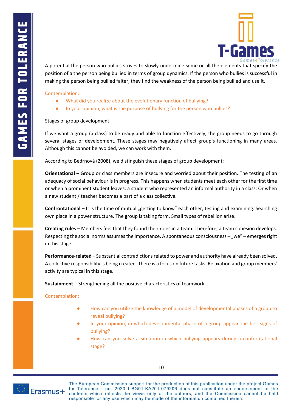

A potential the person who bullies strives to slowly undermine some or all the elements that specify the position of a the person being bullied in terms of group dynamics. If the person who bullies is successful in making the person being bullied falter, they find the weakness of the person being bullied and use it.

Contemplation:

- What did you realize about the evolutionary function of bullying?
- In your opinion, what is the purpose of bullying for the person who bullies?

Stages of group development

If we want a group (a class) to be ready and able to function effectively, the group needs to go through several stages of development. These stages may negatively affect group's functioning in many areas. Although this cannot be avoided, we can work with them.

According to Bedrnová (2008), we distinguish these stages of group development:

**Orientational** – Group or class members are insecure and worried about their position. The testing of an adequacy of social behaviour is in progress. This happens when students meet each other for the first time or when a prominent student leaves; a student who represented an informal authority in a class. Or when a new student / teacher becomes a part of a class collective.

**Confrontational** – It is the time of mutual "getting to know" each other, testing and examining. Searching own place in a power structure. The group is taking form. Small types of rebellion arise.

**Creating rules** – Members feel that they found their roles in a team. Therefore, a team cohesion develops. Respecting the social norms assumes the importance. A spontaneous consciousness – "we" – emerges right in this stage.

**Performance-related** – Substantial contradictions related to power and authority have already been solved. A collective responsibility is being created. There is a focus on future tasks. Relaxation and group members' activity are typical in this stage.

**Sustainment** – Strengthening all the positive characteristics of teamwork.

Contemplation:

- How can you utilize the knowledge of a model of developmental phases of a group to reveal bullying?
- In your opinion, in which developmental phase of a group appear the first signs of bullying?
- How can you solve a situation in which bullying appears during a confrontational stage?

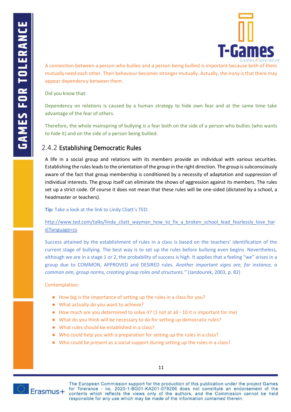

A connection between a person who bullies and a person being bullied is important because both of them mutually need each other. Their behaviour becomes stronger mutually. Actually, the irony is that there may appear dependency between them.

Did you know that:

Dependency on relations is caused by a human strategy to hide own fear and at the same time take advantage of the fear of others.

Therefore, the whole mainspring of bullying is a fear both on the side of a person who bullies (who wants to hide it) and on the side of a person being bullied.

### <span id="page-14-0"></span>2.4.2 Establishing Democratic Rules

A life in a social group and relations with its members provide an individual with various securities. Establishing the rules leads to the orientation of the group in the right direction. The group is subconsciously aware of the fact that group membership is conditioned by a necessity of adaptation and suppression of individual interests. The group itself can eliminate the shows of aggression against its members. The rules set up a strict code. Of course it does not mean that these rules will be one-sided (dictated by a school, a headmaster or teachers).

**Tip:** Take a look at the link to Lindy Cliatt's TED:

[http://www.ted.com/talks/linda\\_cliatt\\_wayman\\_how\\_to\\_fix\\_a\\_broken\\_school\\_lead\\_fearlessly\\_love\\_har](http://www.ted.com/talks/linda_cliatt_wayman_how_to_fix_a_broken_school_lead_fearlessly_love_hard?language=cs) [d?language=cs](http://www.ted.com/talks/linda_cliatt_wayman_how_to_fix_a_broken_school_lead_fearlessly_love_hard?language=cs)

Success attained by the establishment of rules in a class is based on the teachers' identification of the current stage of bullying. The best way is to set up the rules before bullying even begins. Nevertheless, although we are in a stage 1 or 2, the probability of success is high. It applies that a feeling "we" arises in a group due to COMMON, APPROVED and DESIRED rules. *Another important signs are, for instance, a common aim, group norms, creating group roles and structures."* (Jandourek, 2003, p. 82)

#### Contemplation:

- How big is the importance of setting up the rules in a class for you?
- What actually do you want to achieve?
- How much are you determined to solve it? (1 not at all 10 it is important for me)
- What do you think will be necessary to do for setting up democratic rules?
- What rules should be established in a class?
- Who could help you with a preparation for setting up the rules in a class?
- Who could be present as a social support during setting up the rules in a class?



11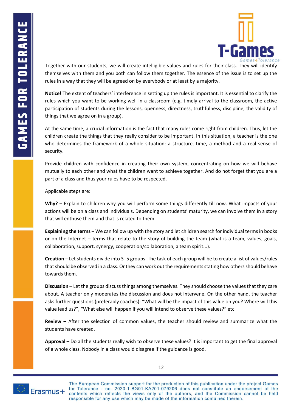

Together with our students, we will create intelligible values and rules for their class. They will identify themselves with them and you both can follow them together. The essence of the issue is to set up the rules in a way that they will be agreed on by everybody or at least by a majority.

**Notice!** The extent of teachers' interference in setting up the rules is important. It is essential to clarify the rules which you want to be working well in a classroom (e.g. timely arrival to the classroom, the active participation of students during the lessons, openness, directness, truthfulness, discipline, the validity of things that we agree on in a group).

At the same time, a crucial information is the fact that many rules come right from children. Thus, let the children create the things that they really consider to be important. In this situation, a teacher is the one who determines the framework of a whole situation: a structure, time, a method and a real sense of security.

Provide children with confidence in creating their own system, concentrating on how we will behave mutually to each other and what the children want to achieve together. And do not forget that you are a part of a class and thus your rules have to be respected.

Applicable steps are:

**Why?** – Explain to children why you will perform some things differently till now. What impacts of your actions will be on a class and individuals. Depending on students' maturity, we can involve them in a story that will enthuse them and that is related to them.

**Explaining the terms** – We can follow up with the story and let children search for individual terms in books or on the Internet – terms that relate to the story of building the team (what is a team, values, goals, collaboration, support, synergy, cooperation/collaboration, a team spirit...).

**Creation** – Let students divide into 3 -5 groups. The task of each group will be to create a list of values/rules that should be observed in a class. Or they can work out the requirements stating how others should behave towards them.

**Discussion** – Let the groups discuss things among themselves. They should choose the values that they care about. A teacher only moderates the discussion and does not intervene. On the other hand, the teacher asks further questions (preferably coaches): "What will be the impact of this value on you? Where will this value lead us?", "What else will happen if you will intend to observe these values?" etc.

**Review** – After the selection of common values, the teacher should review and summarize what the students have created.

**Approval** – Do all the students really wish to observe these values? It is important to get the final approval of a whole class. Nobody in a class would disagree if the guidance is good.



12

The European Commission support for the production of this publication under the project Games for Tolerance - no. 2020-1-BG01-KA201-079206 does not constitute an endorsement of the **Erasmus** + for Tolerance - no. 2020-1-BG01-KA201-079206 does not constitute an endorsement of the contents which reflects the views only of the authors, and the Commission cannot be held responsible for any use which may responsible for any use which may be made of the information contained therein.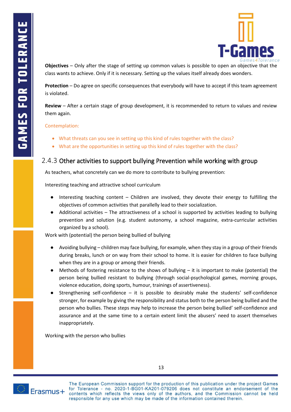

**Objectives** – Only after the stage of setting up common values is possible to open an objective that the class wants to achieve. Only if it is necessary. Setting up the values itself already does wonders.

**Protection** – Do agree on specific consequences that everybody will have to accept if this team agreement is violated.

**Review** – After a certain stage of group development, it is recommended to return to values and review them again.

#### Contemplation:

- What threats can you see in setting up this kind of rules together with the class?
- What are the opportunities in setting up this kind of rules together with the class?

### <span id="page-16-0"></span>2.4.3 Other activities to support bullying Prevention while working with group

As teachers, what concretely can we do more to contribute to bullying prevention:

Interesting teaching and attractive school curriculum

- Interesting teaching content Children are involved, they devote their energy to fulfilling the objectives of common activities that parallelly lead to their socialization.
- Additional activities The attractiveness of a school is supported by activities leading to bullying prevention and solution (e.g. student autonomy, a school magazine, extra-curricular activities organized by a school).

Work with (potential) the person being bullied of bullying

- Avoiding bullying children may face bullying, for example, when they stay in a group of their friends during breaks, lunch or on way from their school to home. It is easier for children to face bullying when they are in a group or among their friends.
- Methods of fostering resistance to the shows of bullying it is important to make (potential) the person being bullied resistant to bullying (through social-psychological games, morning groups, violence education, doing sports, humour, trainings of assertiveness).
- Strengthening self-confidence it is possible to desirably make the students' self-confidence stronger, for example by giving the responsibility and status both to the person being bullied and the person who bullies. These steps may help to increase the person being bullied' self-confidence and assurance and at the same time to a certain extent limit the abusers' need to assert themselves inappropriately.

Working with the person who bullies

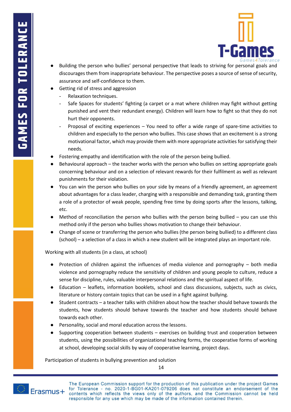

- Building the person who bullies' personal perspective that leads to striving for personal goals and discourages them from inappropriate behaviour. The perspective poses a source of sense of security, assurance and self-confidence to them.
- Getting rid of stress and aggression
	- Relaxation techniques.
	- Safe Spaces for students' fighting (a carpet or a mat where children may fight without getting punished and vent their redundant energy). Children will learn how to fight so that they do not hurt their opponents.
	- Proposal of exciting experiences You need to offer a wide range of spare-time activities to children and especially to the person who bullies. This case shows that an excitement is a strong motivational factor, which may provide them with more appropriate activities for satisfying their needs.
- Fostering empathy and identification with the role of the person being bullied.
- Behavioural approach the teacher works with the person who bullies on setting appropriate goals concerning behaviour and on a selection of relevant rewards for their fulfilment as well as relevant punishments for their violation.
- You can win the person who bullies on your side by means of a friendly agreement, an agreement about advantages for a class leader, charging with a responsible and demanding task, granting them a role of a protector of weak people, spending free time by doing sports after the lessons, talking, etc.
- Method of reconciliation the person who bullies with the person being bullied you can use this method only if the person who bullies shows motivation to change their behaviour.
- Change of scene or transferring the person who bullies (the person being bullied) to a different class (school) – a selection of a class in which a new student will be integrated plays an important role.

#### Working with all students (in a class, at school)

- Protection of children against the influences of media violence and pornography both media violence and pornography reduce the sensitivity of children and young people to culture, reduce a sense for discipline, rules, valuable interpersonal relations and the spiritual aspect of life.
- Education leaflets, information booklets, school and class discussions, subjects, such as civics, literature or history contain topics that can be used in a fight against bullying.
- Student contracts a teacher talks with children about how the teacher should behave towards the students, how students should behave towards the teacher and how students should behave towards each other.
- Personality, social and moral education across the lessons.
- Supporting cooperation between students exercises on building trust and cooperation between students, using the possibilities of organizational teaching forms, the cooperative forms of working at school, developing social skills by way of cooperative learning, project days.

Participation of students in bullying prevention and solution

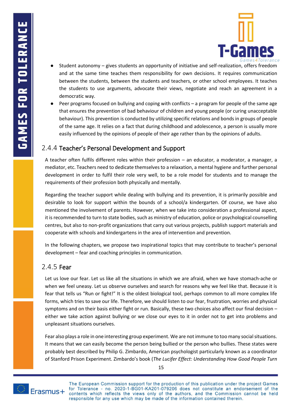

- Student autonomy gives students an opportunity of initiative and self-realization, offers freedom and at the same time teaches them responsibility for own decisions. It requires communication between the students, between the students and teachers, or other school employees. It teaches the students to use arguments, advocate their views, negotiate and reach an agreement in a democratic way.
- Peer programs focused on bullying and coping with conflicts a program for people of the same age that ensures the prevention of bad behaviour of children and young people (or curing unacceptable behaviour). This prevention is conducted by utilizing specific relations and bonds in groups of people of the same age. It relies on a fact that during childhood and adolescence, a person is usually more easily influenced by the opinions of people of their age rather than by the opinions of adults.

### <span id="page-18-0"></span>2.4.4 Teacher's Personal Development and Support

A teacher often fulfils different roles within their profession – an educator, a moderator, a manager, a mediator, etc. Teachers need to dedicate themselves to a relaxation, a mental hygiene and further personal development in order to fulfil their role very well, to be a role model for students and to manage the requirements of their profession both physically and mentally.

Regarding the teacher support while dealing with bullying and its prevention, it is primarily possible and desirable to look for support within the bounds of a school/a kindergarten. Of course, we have also mentioned the involvement of parents. However, when we take into consideration a professional aspect, it is recommended to turn to state bodies, such as ministry of education, police or psychological counselling centres, but also to non-profit organizations that carry out various projects, publish support materials and cooperate with schools and kindergartens in the area of intervention and prevention.

In the following chapters, we propose two inspirational topics that may contribute to teacher's personal development – fear and coaching principles in communication.

### <span id="page-18-1"></span>2.4.5 Fear

Let us love our fear. Let us like all the situations in which we are afraid, when we have stomach-ache or when we feel uneasy. Let us observe ourselves and search for reasons why we feel like that. Because it is fear that tells us "Run or fight!" It is the oldest biological tool, perhaps common to all more complex life forms, which tries to save our life. Therefore, we should listen to our fear, frustration, worries and physical symptoms and on their basis either fight or run. Basically, these two choices also affect our final decision – either we take action against bullying or we close our eyes to it in order not to get into problems and unpleasant situations ourselves.

Fear also plays a role in one interesting group experiment. We are not immune to too many social situations. It means that we can easily become the person being bullied or the person who bullies. These states were probably best described by Philip G. Zimbardo, American psychologist particularly known as a coordinator of Stanford Prison Experiment. Zimbardo's book (*The Lucifer Effect: Understanding How Good People Turn* 

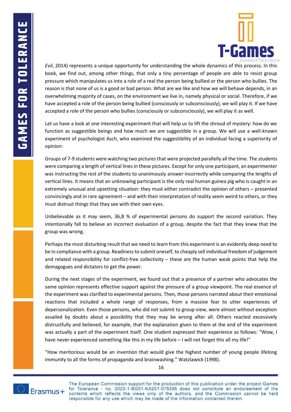

*Evil*, 2014) represents a unique opportunity for understanding the whole dynamics of this process. In this book, we find out, among other things, that only a tiny percentage of people are able to resist group pressure which manipulates us into a role of a real the person being bullied or the person who bullies. The reason is that none of us is a good or bad person. What are we like and how we will behave depends, in an overwhelming majority of cases, on the environment we live in, namely physical or social. Therefore, if we have accepted a role of the person being bullied (consciously or subconsciously), we will play it. If we have accepted a role of the person who bullies (consciously or subconsciously), we will play it as well.

Let us have a look at one interesting experiment that will help us to lift the shroud of mystery: how do we function as suggestible beings and how much we are suggestible in a group. We will use a well-known experiment of psychologist Asch, who examined the suggestibility of an individual facing a superiority of opinion:

Groups of 7-9 students were watching two pictures that were projected parallelly all the time. The students were comparing a length of vertical lines in these pictures. Except for only one participant, an experimenter was instructing the rest of the students to unanimously answer incorrectly while comparing the lengths of vertical lines. It means that an unknowing participant is the only real human guinea pig who is caught in an extremely unusual and upsetting situation: they must either contradict the opinion of others – presented convincingly and in rare agreement – and with their interpretation of reality seem weird to others, or they must distrust things that they see with their own eyes.

Unbelievable as it may seem, 36,8 % of experimental persons do support the second variation. They intentionally fall to believe an incorrect evaluation of a group, despite the fact that they knew that the group was wrong.

Perhaps the most disturbing result that we need to learn from this experiment is an evidently deep need to be in compliance with a group. Readiness to submit oneself, to cheaply sell individual freedom of judgement and related responsibility for conflict-free collectivity – these are the human weak points that help the demagogues and dictators to get the power.

During the next stages of the experiment, we found out that a presence of a partner who advocates the same opinion represents effective support against the pressure of a group viewpoint. The real essence of the experiment was clarified to experimental persons. Then, those persons narrated about their emotional reactions that included a whole range of responses, from a massive fear to utter experiences of depersonalization. Even those persons, who did not submit to group view, were almost without exception assailed by doubts about a possibility that they may be wrong after all. Others reacted excessively distrustfully and believed, for example, that the explanation given to them at the end of the experiment was actually a part of the experiment itself. One student expressed their experience as follows: "Wow, I have never experienced something like this in my life before – I will not forget this all my life!"

"How meritorious would be an invention that would give the highest number of young people lifelong immunity to all the forms of propaganda and brainwashing." Watzlawick (1998).



The European Commission support for the production of this publication under the project Games **Erasmus** + for Tolerance - no. 2020-1-BG01-KA201-079206 does not constitute an endorsement of the contents which reflects the views only of the authors, and the Commission cannot be held responsible for any use which may for Tolerance - no. 2020-1-BG01-KA201-079206 does not constitute an endorsement of the responsible for any use which may be made of the information contained therein.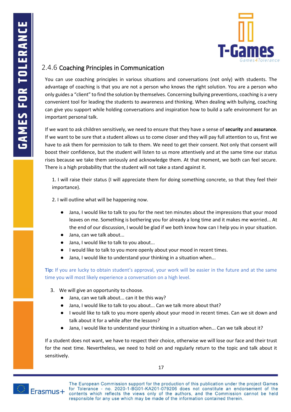

### <span id="page-20-0"></span>2.4.6 Coaching Principles in Communication

You can use coaching principles in various situations and conversations (not only) with students. The advantage of coaching is that you are not a person who knows the right solution. You are a person who only guides a "client" to find the solution by themselves. Concerning bullying preventions, coaching is a very convenient tool for leading the students to awareness and thinking. When dealing with bullying, coaching can give you support while holding conversations and inspiration how to build a safe environment for an important personal talk.

If we want to ask children sensitively, we need to ensure that they have a sense of **security** and **assurance**. If we want to be sure that a student allows us to come closer and they will pay full attention to us, first we have to ask them for permission to talk to them. We need to get their consent. Not only that consent will boost their confidence, but the student will listen to us more attentively and at the same time our status rises because we take them seriously and acknowledge them. At that moment, we both can feel secure. There is a high probability that the student will not take a stand against it.

1. I will raise their status (I will appreciate them for doing something concrete, so that they feel their importance).

2. I will outline what will be happening now.

- Jana, I would like to talk to you for the next ten minutes about the impressions that your mood leaves on me. Something is bothering you for already a long time and it makes me worried... At the end of our discussion, I would be glad if we both know how can I help you in your situation.
- Jana, can we talk about...
- Jana, I would like to talk to you about...
- I would like to talk to you more openly about your mood in recent times.
- Jana, I would like to understand your thinking in a situation when...

**Tip:** If you are lucky to obtain student's approval, your work will be easier in the future and at the same time you will most likely experience a conversation on a high level.

- 3. We will give an opportunity to choose.
	- Jana, can we talk about... can it be this way?
	- Jana, I would like to talk to you about... Can we talk more about that?
	- I would like to talk to you more openly about your mood in recent times. Can we sit down and talk about it for a while after the lessons?
	- Jana, I would like to understand your thinking in a situation when... Can we talk about it?

If a student does not want, we have to respect their choice, otherwise we will lose our face and their trust for the next time. Nevertheless, we need to hold on and regularly return to the topic and talk about it sensitively.

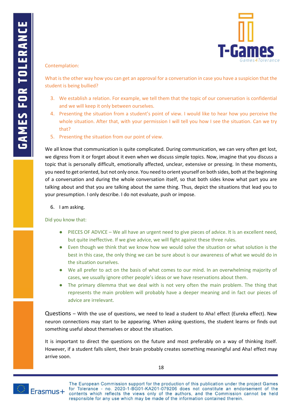

#### Contemplation:

What is the other way how you can get an approval for a conversation in case you have a suspicion that the student is being bullied?

- 3. We establish a relation. For example, we tell them that the topic of our conversation is confidential and we will keep it only between ourselves.
- 4. Presenting the situation from a student's point of view. I would like to hear how you perceive the whole situation. After that, with your permission I will tell you how I see the situation. Can we try that?
- 5. Presenting the situation from our point of view.

We all know that communication is quite complicated. During communication, we can very often get lost, we digress from it or forget about it even when we discuss simple topics. Now, imagine that you discuss a topic that is personally difficult, emotionally affected, unclear, extensive or pressing. In these moments, you need to get oriented, but not only once. You need to orient yourself on both sides, both at the beginning of a conversation and during the whole conversation itself, so that both sides know what part you are talking about and that you are talking about the same thing. Thus, depict the situations that lead you to your presumption. I only describe. I do not evaluate, push or impose.

6. I am asking.

#### Did you know that:

- PIECES OF ADVICE We all have an urgent need to give pieces of advice. It is an excellent need, but quite ineffective. If we give advice, we will fight against these three rules.
- Even though we think that we know how we would solve the situation or what solution is the best in this case, the only thing we can be sure about is our awareness of what we would do in the situation ourselves.
- We all prefer to act on the basis of what comes to our mind. In an overwhelming majority of cases, we usually ignore other people's ideas or we have reservations about them.
- The primary dilemma that we deal with is not very often the main problem. The thing that represents the main problem will probably have a deeper meaning and in fact our pieces of advice are irrelevant.

Questions – With the use of questions, we need to lead a student to Aha! effect (Eureka effect). New neuron connections may start to be appearing. When asking questions, the student learns or finds out something useful about themselves or about the situation.

It is important to direct the questions on the future and most preferably on a way of thinking itself. However, if a student falls silent, their brain probably creates something meaningful and Aha! effect may arrive soon.

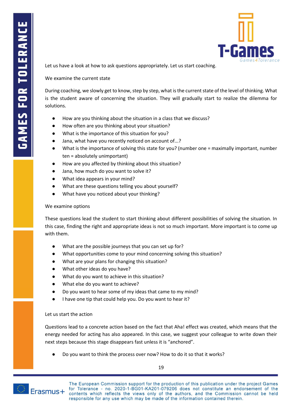

Let us have a look at how to ask questions appropriately. Let us start coaching.

We examine the current state

During coaching, we slowly get to know, step by step, what is the current state of the level of thinking. What is the student aware of concerning the situation. They will gradually start to realize the dilemma for solutions.

- How are you thinking about the situation in a class that we discuss?
- How often are you thinking about your situation?
- What is the importance of this situation for you?
- Jana, what have you recently noticed on account of...?
- What is the importance of solving this state for you? (number one = maximally important, number ten = absolutely unimportant)
- How are you affected by thinking about this situation?
- Jana, how much do you want to solve it?
- What idea appears in your mind?
- What are these questions telling you about yourself?
- What have you noticed about your thinking?

#### We examine options

These questions lead the student to start thinking about different possibilities of solving the situation. In this case, finding the right and appropriate ideas is not so much important. More important is to come up with them.

- What are the possible journeys that you can set up for?
- What opportunities come to your mind concerning solving this situation?
- What are your plans for changing this situation?
- What other ideas do you have?
- What do you want to achieve in this situation?
- What else do you want to achieve?
- Do you want to hear some of my ideas that came to my mind?
- I have one tip that could help you. Do you want to hear it?

#### Let us start the action

Questions lead to a concrete action based on the fact that Aha! effect was created, which means that the energy needed for acting has also appeared. In this case, we suggest your colleague to write down their next steps because this stage disappears fast unless it is "anchored".

Do you want to think the process over now? How to do it so that it works?

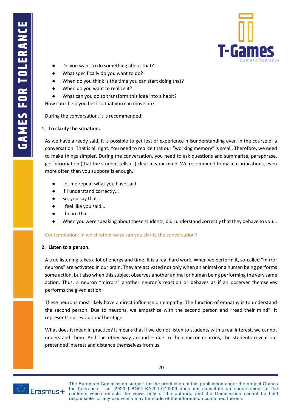

- Do you want to do something about that?
- What specifically do you want to do?
- When do you think is the time you can start doing that?
- When do you want to realize it?
- What can you do to transform this idea into a habit?

How can I help you best so that you can move on?

During the conversation, it is recommended:

#### **1. To clarify the situation.**

As we have already said, it is possible to get lost or experience misunderstanding even in the course of a conversation. That is all right. You need to realize that our "working memory" is small. Therefore, we need to make things simpler. During the conversation, you need to ask questions and summarize, paraphrase, get information (that the student tells us) clear in your mind. We recommend to make clarifications, even more often than you suppose is enough.

- Let me repeat what you have said.
- If I understand correctly...
- So, you say that...
- I feel like you said...
- I heard that...
- When you were speaking about these students, did I understand correctly that they behave to you...

#### Contemplation: In which other ways can you clarify the conversation?

#### **2. Listen to a person.**

A true listening takes a lot of energy and time. It is a real hard work. When we perform it, so-called "mirror neurons" are activated in our brain. They are activated not only when an animal or a human being performs some action, but also when this subject observes another animal or human being performing the very same action. Thus, a neuron "mirrors" another neuron's reaction or behaves as if an observer themselves performs the given action.

These neurons most likely have a direct influence on empathy. The function of empathy is to understand the second person. Due to neurons, we empathize with the second person and "read their mind". It represents our evolutional heritage.

What does it mean in practice? It means that if we do not listen to students with a real interest, we cannot understand them. And the other way around – due to their mirror neurons, the students reveal our pretended interest and distance themselves from us.



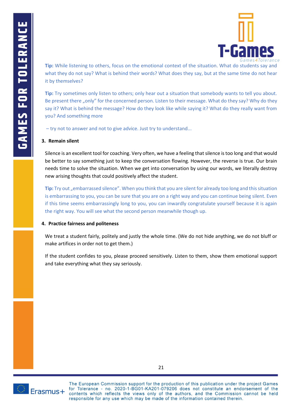

**Tip:** While listening to others, focus on the emotional context of the situation. What do students say and what they do not say? What is behind their words? What does they say, but at the same time do not hear it by themselves?

**Tip:** Try sometimes only listen to others; only hear out a situation that somebody wants to tell you about. Be present there "only" for the concerned person. Listen to their message. What do they say? Why do they say it? What is behind the message? How do they look like while saying it? What do they really want from you? And something more

– try not to answer and not to give advice. Just try to understand...

#### **3. Remain silent**

Silence is an excellent tool for coaching. Very often, we have a feeling that silence is too long and that would be better to say something just to keep the conversation flowing. However, the reverse is true. Our brain needs time to solve the situation. When we get into conversation by using our words, we literally destroy new arising thoughts that could positively affect the student.

**Tip:** Try out "embarrassed silence". When you think that you are silent for already too long and this situation is embarrassing to you, you can be sure that you are on a right way and you can continue being silent. Even if this time seems embarrassingly long to you, you can inwardly congratulate yourself because it is again the right way. You will see what the second person meanwhile though up.

#### **4. Practice fairness and politeness**

We treat a student fairly, politely and justly the whole time. (We do not hide anything, we do not bluff or make artifices in order not to get them.)

If the student confides to you, please proceed sensitively. Listen to them, show them emotional support and take everything what they say seriously.

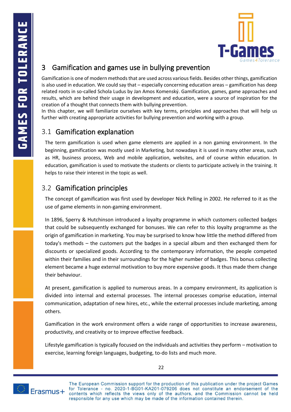

# <span id="page-25-0"></span>3 Gamification and games use in bullying prevention

Gamification is one of modern methods that are used across various fields. Besides other things, gamification is also used in education. We could say that – especially concerning education areas – gamification has deep related roots in so-called Schola Ludus by Jan Amos Komenský. Gamification, games, game approaches and results, which are behind their usage in development and education, were a source of inspiration for the creation of a thought that connects them with bullying prevention.

In this chapter, we will familiarize ourselves with key terms, principles and approaches that will help us further with creating appropriate activities for bullying prevention and working with a group.

# <span id="page-25-1"></span>3.1 Gamification explanation

The term gamification is used when game elements are applied in a non gaming environment. In the beginning, gamification was mostly used in Marketing, but nowadays it is used in many other areas, such as HR, business process, Web and mobile application, websites, and of course within education. In education, gamification is used to motivate the students or clients to participate actively in the training. It helps to raise their interest in the topic as well.

# <span id="page-25-2"></span>3.2 Gamification principles

The concept of gamification was first used by developer Nick Pelling in 2002. He referred to it as the use of game elements in non-gaming environment.

In 1896, Sperry & Hutchinson introduced a loyalty programme in which customers collected badges that could be subsequently exchanged for bonuses. We can refer to this loyalty programme as the origin of gamification in marketing. You may be surprised to know how little the method differed from today's methods – the customers put the badges in a special album and then exchanged them for discounts or specialized goods. According to the contemporary information, the people competed within their families and in their surroundings for the higher number of badges. This bonus collecting element became a huge external motivation to buy more expensive goods. It thus made them change their behaviour.

At present, gamification is applied to numerous areas. In a company environment, its application is divided into internal and external processes. The internal processes comprise education, internal communication, adaptation of new hires, etc., while the external processes include marketing, among others.

Gamification in the work environment offers a wide range of opportunities to increase awareness, productivity, and creativity or to improve effective feedback.

Lifestyle gamification is typically focused on the individuals and activities they perform – motivation to exercise, learning foreign languages, budgeting, to-do lists and much more.



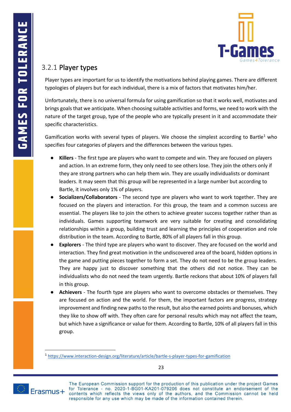

# <span id="page-26-0"></span>3.2.1 Player types

Player types are important for us to identify the motivations behind playing games. There are different typologies of players but for each individual, there is a mix of factors that motivates him/her.

Unfortunately, there is no universal formula for using gamification so that it works well, motivates and brings goals that we anticipate. When choosing suitable activities and forms, we need to work with the nature of the target group, type of the people who are typically present in it and accommodate their specific characteristics.

Gamification works with several types of players. We choose the simplest according to Bartle<sup>1</sup> who specifies four categories of players and the differences between the various types.

- Killers The first type are players who want to compete and win. They are focused on players and action. In an extreme form, they only need to see others lose. They join the others only if they are strong partners who can help them win. They are usually individualists or dominant leaders. It may seem that this group will be represented in a large number but according to Bartle, it involves only 1% of players.
- **Socializers/Collaborators**  The second type are players who want to work together. They are focused on the players and interaction. For this group, the team and a common success are essential. The players like to join the others to achieve greater success together rather than as individuals. Games supporting teamwork are very suitable for creating and consolidating relationships within a group, building trust and learning the principles of cooperation and role distribution in the team. According to Bartle, 80% of all players fall in this group.
- **Explorers**  The third type are players who want to discover. They are focused on the world and interaction. They find great motivation in the undiscovered area of the board, hidden options in the game and putting pieces together to form a set. They do not need to be the group leaders. They are happy just to discover something that the others did not notice. They can be individualists who do not need the team urgently. Bartle reckons that about 10% of players fall in this group.
- **•** Achievers The fourth type are players who want to overcome obstacles or themselves. They are focused on action and the world. For them, the important factors are progress, strategy improvement and finding new paths to the result, but also the earned points and bonuses, which they like to show off with. They often care for personal results which may not affect the team, but which have a significance or value for them. According to Bartle, 10% of all players fall in this group.

<sup>1</sup> <https://www.interaction-design.org/literature/article/bartle-s-player-types-for-gamification>



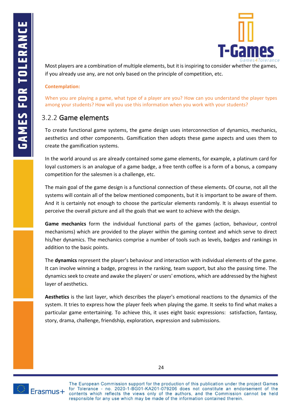

Most players are a combination of multiple elements, but it is inspiring to consider whether the games, if you already use any, are not only based on the principle of competition, etc.

#### **Contemplation:**

When you are playing a game, what type of a player are you? How can you understand the player types among your students? How will you use this information when you work with your students?

### <span id="page-27-0"></span>3.2.2 Game elements

To create functional game systems, the game design uses interconnection of dynamics, mechanics, aesthetics and other components. Gamification then adopts these game aspects and uses them to create the gamification systems.

In the world around us are already contained some game elements, for example, a platinum card for loyal customers is an analogue of a game badge, a free tenth coffee is a form of a bonus, a company competition for the salesmen is a challenge, etc.

The main goal of the game design is a functional connection of these elements. Of course, not all the systems will contain all of the below mentioned components, but it is important to be aware of them. And it is certainly not enough to choose the particular elements randomly. It is always essential to perceive the overall picture and all the goals that we want to achieve with the design.

**Game mechanics** form the individual functional parts of the games (action, behaviour, control mechanisms) which are provided to the player within the gaming context and which serve to direct his/her dynamics. The mechanics comprise a number of tools such as levels, badges and rankings in addition to the basic points.

The **dynamics** represent the player's behaviour and interaction with individual elements of the game. It can involve winning a badge, progress in the ranking, team support, but also the passing time. The dynamics seek to create and awake the players' or users' emotions, which are addressed by the highest layer of aesthetics.

**Aesthetics** is the last layer, which describes the player's emotional reactions to the dynamics of the system. It tries to express how the player feels when playing the game. It seeks to find what makes a particular game entertaining. To achieve this, it uses eight basic expressions: satisfaction, fantasy, story, drama, challenge, friendship, exploration, expression and submissions.



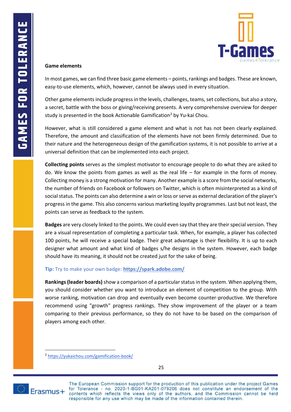

#### **Game elements**

In most games, we can find three basic game elements – points, rankings and badges. These are known, easy-to-use elements, which, however, cannot be always used in every situation.

Other game elements include progress in the levels, challenges, teams, set collections, but also a story, a secret, battle with the boss or giving/receiving presents. A very comprehensive overview for deeper study is presented in the book Actionable Gamification<sup>2</sup> by Yu-kai Chou.

However, what is still considered a game element and what is not has not been clearly explained. Therefore, the amount and classification of the elements have not been firmly determined. Due to their nature and the heterogeneous design of the gamification systems, it is not possible to arrive at a universal definition that can be implemented into each project.

**Collecting points** serves as the simplest motivator to encourage people to do what they are asked to do. We know the points from games as well as the real life  $-$  for example in the form of money. Collecting money is a strong motivation for many. Another example is a score from the social networks, the number of friends on Facebook or followers on Twitter, which is often misinterpreted as a kind of social status. The points can also determine a win or loss or serve as external declaration of the player's progress in the game. This also concerns various marketing loyalty programmes. Last but not least, the points can serve as feedback to the system.

**Badges** are very closely linked to the points. We could even say that they are their special version. They are a visual representation of completing a particular task. When, for example, a player has collected 100 points, he will receive a special badge. Their great advantage is their flexibility. It is up to each designer what amount and what kind of badges s/he designs in the system. However, each badge should have its meaning, it should not be created just for the sake of being.

#### **Tip:** Try to make your own badge: **<https://spark.adobe.com/>**

**Rankings (leader boards)**show a comparison of a particular status in the system. When applying them, you should consider whether you want to introduce an element of competition to the group. With worse ranking, motivation can drop and eventually even become counter-productive. We therefore recommend using "growth" progress rankings. They show improvement of the player or a team comparing to their previous performance, so they do not have to be based on the comparison of players among each other.



<sup>2</sup> <https://yukaichou.com/gamification-book/>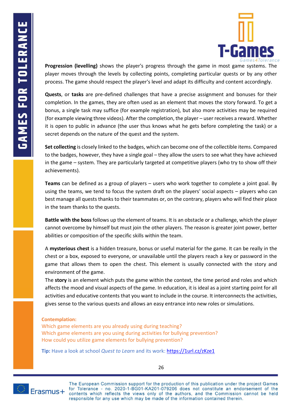

**Progression (levelling)** shows the player's progress through the game in most game systems. The player moves through the levels by collecting points, completing particular quests or by any other process. The game should respect the player's level and adapt its difficulty and content accordingly.

**Quests**, or **tasks** are pre-defined challenges that have a precise assignment and bonuses for their completion. In the games, they are often used as an element that moves the story forward. To get a bonus, a single task may suffice (for example registration), but also more activities may be required (for example viewing three videos). After the completion, the player – user receives a reward. Whether it is open to public in advance (the user thus knows what he gets before completing the task) or a secret depends on the nature of the quest and the system.

**Set collecting** is closely linked to the badges, which can become one of the collectible items. Compared to the badges, however, they have a single goal – they allow the users to see what they have achieved in the game – system. They are particularly targeted at competitive players (who try to show off their achievements).

**Teams** can be defined as a group of players – users who work together to complete a joint goal. By using the teams, we tend to focus the system draft on the players' social aspects – players who can best manage all quests thanks to their teammates or, on the contrary, players who will find their place in the team thanks to the quests.

**Battle with the boss** follows up the element of teams. It is an obstacle or a challenge, which the player cannot overcome by himself but must join the other players. The reason is greater joint power, better abilities or composition of the specific skills within the team.

A **mysterious chest** is a hidden treasure, bonus or useful material for the game. It can be really in the chest or a box, exposed to everyone, or unavailable until the players reach a key or password in the game that allows them to open the chest. This element is usually connected with the story and environment of the game.

The **story** is an element which puts the game within the context, the time period and roles and which affects the mood and visual aspects of the game. In education, it is ideal as a joint starting point for all activities and educative contents that you want to include in the course. It interconnects the activities, gives sense to the various quests and allows an easy entrance into new roles or simulations.

#### **Contemplation:**

Which game elements are you already using during teaching? Which game elements are you using during activities for bullying prevention? How could you utilize game elements for bullying prevention?

**Tip:** Have a look at school *Quest to Learn* and its work:<https://1url.cz/zKze1>



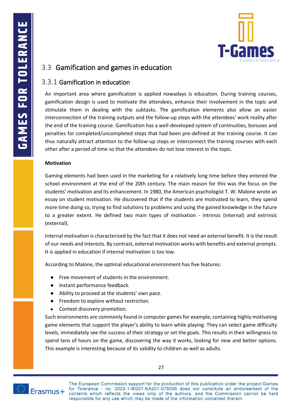

# <span id="page-30-0"></span>3.3 Gamification and games in education

### <span id="page-30-1"></span>3.3.1 Gamification in education

An important area where gamification is applied nowadays is education. During training courses, gamification design is used to motivate the attendees, enhance their involvement in the topic and stimulate them in dealing with the subtasks. The gamification elements also allow an easier interconnection of the training outputs and the follow-up steps with the attendees' work reality after the end of the training course. Gamification has a well-developed system of continuities, bonuses and penalties for completed/uncompleted steps that had been pre-defined at the training course. It can thus naturally attract attention to the follow-up steps or interconnect the training courses with each other after a period of time so that the attendees do not lose interest in the topic.

#### **Motivation**

Gaming elements had been used in the marketing for a relatively long time before they entered the school environment at the end of the 20th century. The main reason for this was the focus on the students' motivation and its enhancement. In 1980, the American psychologist T. W. Malone wrote an essay on student motivation. He discovered that if the students are motivated to learn, they spend more time doing so, trying to find solutions to problems and using the gained knowledge in the future to a greater extent. He defined two main types of motivation - intrinsic (internal) and extrinsic (external).

Internal motivation is characterized by the fact that it does not need an external benefit. It is the result of our needs and interests. By contrast, external motivation works with benefits and external prompts. It is applied in education if internal motivation is too low.

According to Malone, the optimal educational environment has five features:

- Free movement of students in the environment.
- Instant performance feedback.
- Ability to proceed at the students' own pace.
- Freedom to explore without restriction.
- Context discovery promotion.

Such environments are commonly found in computer games for example, containing highly motivating game elements that support the player's ability to learn while playing. They can select game difficulty levels, immediately see the success of their strategy or set the goals. This results in their willingness to spend tens of hours on the game, discovering the way it works, looking for new and better options. This example is interesting because of its validity to children as well as adults.

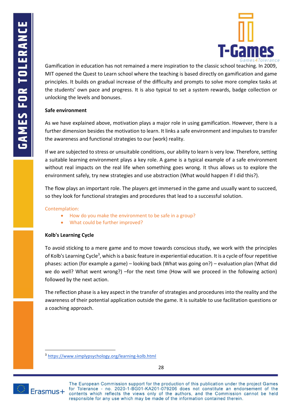

Gamification in education has not remained a mere inspiration to the classic school teaching. In 2009, MIT opened the Quest to Learn school where the teaching is based directly on gamification and game principles. It builds on gradual increase of the difficulty and prompts to solve more complex tasks at the students' own pace and progress. It is also typical to set a system rewards, badge collection or unlocking the levels and bonuses.

#### **Safe environment**

As we have explained above, motivation plays a major role in using gamification. However, there is a further dimension besides the motivation to learn. It links a safe environment and impulses to transfer the awareness and functional strategies to our (work) reality.

If we are subjected to stress or unsuitable conditions, our ability to learn is very low. Therefore, setting a suitable learning environment plays a key role. A game is a typical example of a safe environment without real impacts on the real life when something goes wrong. It thus allows us to explore the environment safely, try new strategies and use abstraction (What would happen if I did this?).

The flow plays an important role. The players get immersed in the game and usually want to succeed, so they look for functional strategies and procedures that lead to a successful solution.

#### Contemplation:

- How do you make the environment to be safe in a group?
- What could be further improved?

#### **Kolb's Learning Cycle**

To avoid sticking to a mere game and to move towards conscious study, we work with the principles of Kolb's Learning Cycle<sup>3</sup>, which is a basic feature in experiential education. It is a cycle of four repetitive phases: action (for example a game) – looking back (What was going on?) – evaluation plan (What did we do well? What went wrong?) –for the next time (How will we proceed in the following action) followed by the next action.

The reflection phase is a key aspect in the transfer of strategies and procedures into the reality and the awareness of their potential application outside the game. It is suitable to use facilitation questions or a coaching approach.



<sup>3</sup> <https://www.simplypsychology.org/learning-kolb.html>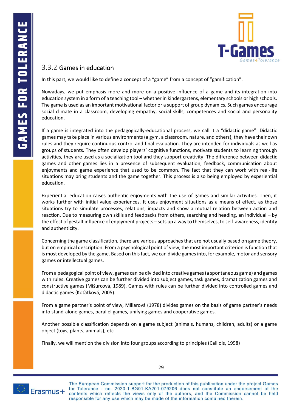

### <span id="page-32-0"></span>3.3.2 Games in education

In this part, we would like to define a concept of a "game" from a concept of "gamification".

Nowadays, we put emphasis more and more on a positive influence of a game and its integration into education system in a form of a teaching tool – whether in kindergartens, elementary schools or high schools. The game is used as an important motivational factor or a support of group dynamics. Such games encourage social climate in a classroom, developing empathy, social skills, competences and social and personality education.

If a game is integrated into the pedagogically-educational process, we call it a "didactic game". Didactic games may take place in various environments (a gym, a classroom, nature, and others), they have their own rules and they require continuous control and final evaluation. They are intended for individuals as well as groups of students. They often develop players' cognitive functions, motivate students to learning through activities, they are used as a socialization tool and they support creativity. The difference between didactic games and other games lies in a presence of subsequent evaluation, feedback, communication about enjoyments and game experience that used to be common. The fact that they can work with real-life situations may bring students and the game together. This process is also being employed by experiential education.

Experiential education raises authentic enjoyments with the use of games and similar activities. Then, it works further with initial value experiences. It uses enjoyment situations as a means of effect, as those situations try to simulate processes, relations, impacts and show a mutual relation between action and reaction. Due to measuring own skills and feedbacks from others, searching and heading, an individual – by the effect of gestalt influence of enjoyment projects – sets up a way to themselves, to self-awareness, identity and authenticity.

Concerning the game classification, there are various approaches that are not usually based on game theory, but on empirical description. From a psychological point of view, the most important criterion is function that is most developed by the game. Based on this fact, we can divide games into, for example, motor and sensory games or intellectual games.

From a pedagogical point of view, games can be divided into creative games (a spontaneous game) and games with rules. Creative games can be further divided into subject games, task games, dramatization games and constructive games (Mišurcová, 1989). Games with rules can be further divided into controlled games and didactic games (Koťátková, 2005).

From a game partner's point of view, Millarová (1978) divides games on the basis of game partner's needs into stand-alone games, parallel games, unifying games and cooperative games.

Another possible classification depends on a game subject (animals, humans, children, adults) or a game object (toys, plants, animals), etc.

Finally, we will mention the division into four groups according to principles (Caillois, 1998)



29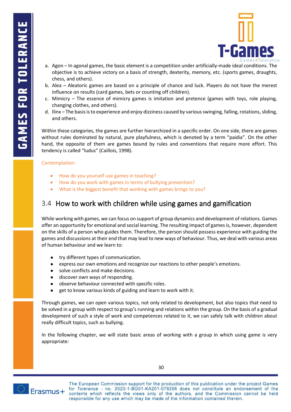

- a. Agon In agonal games, the basic element is a competition under artificially-made ideal conditions. The objective is to achieve victory on a basis of strength, dexterity, memory, etc. (sports games, draughts, chess, and others).
- b. Alea Aleatoric games are based on a principle of chance and luck. Players do not have the merest influence on results (card games, bets or counting off children).
- c. Mimicry The essence of mimicry games is imitation and pretence (games with toys, role playing, changing clothes, and others).
- d. Ilinx The basis is to experience and enjoy dizziness caused by various swinging, falling, rotations, sliding, and others.

Within these categories, the games are further hierarchized in a specific order. On one side, there are games without rules dominated by natural, pure playfulness, which is denoted by a term "paidia". On the other hand, the opposite of them are games bound by rules and conventions that require more effort. This tendency is called "ludus" (Caillois, 1998).

#### Contemplation:

- How do you yourself use games in teaching?
- How do you work with games in terms of bullying prevention?
- What is the biggest benefit that working with games brings to you?

### <span id="page-33-0"></span>3.4 How to work with children while using games and gamification

While working with games, we can focus on support of group dynamics and development of relations. Games offer an opportunity for emotional and social learning. The resulting impact of games is, however, dependent on the skills of a person who guides them. Therefore, the person should possess experience with guiding the games and discussions at their end that may lead to new ways of behaviour. Thus, we deal with various areas of human behaviour and we learn to:

- try different types of communication.
- express our own emotions and recognize our reactions to other people's emotions.
- solve conflicts and make decisions.
- discover own ways of responding.
- observe behaviour connected with specific roles.
- get to know various kinds of guiding and learn to work with it.

Through games, we can open various topics, not only related to development, but also topics that need to be solved in a group with respect to group's running and relations within the group. On the basis of a gradual development of such a style of work and competences related to it, we can safely talk with children about really difficult topics, such as bullying.

In the following chapter, we will state basic areas of working with a group in which using game is very appropriate:

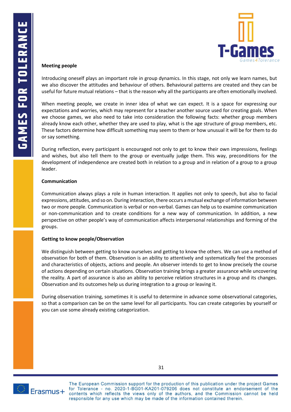

#### **Meeting people**

Introducing oneself plays an important role in group dynamics. In this stage, not only we learn names, but we also discover the attitudes and behaviour of others. Behavioural patterns are created and they can be useful for future mutual relations – that is the reason why all the participants are often emotionally involved.

When meeting people, we create in inner idea of what we can expect. It is a space for expressing our expectations and worries, which may represent for a teacher another source used for creating goals. When we choose games, we also need to take into consideration the following facts: whether group members already know each other, whether they are used to play, what is the age structure of group members, etc. These factors determine how difficult something may seem to them or how unusual it will be for them to do or say something.

During reflection, every participant is encouraged not only to get to know their own impressions, feelings and wishes, but also tell them to the group or eventually judge them. This way, preconditions for the development of independence are created both in relation to a group and in relation of a group to a group leader.

#### **Communication**

Communication always plays a role in human interaction. It applies not only to speech, but also to facial expressions, attitudes, and so on. During interaction, there occurs a mutual exchange of information between two or more people. Communication is verbal or non-verbal. Games can help us to examine communication or non-communication and to create conditions for a new way of communication. In addition, a new perspective on other people's way of communication affects interpersonal relationships and forming of the groups.

#### **Getting to know people/Observation**

We distinguish between getting to know ourselves and getting to know the others. We can use a method of observation for both of them. Observation is an ability to attentively and systematically feel the processes and characteristics of objects, actions and people. An observer intends to get to know precisely the course of actions depending on certain situations. Observation training brings a greater assurance while uncovering the reality. A part of assurance is also an ability to perceive relation structures in a group and its changes. Observation and its outcomes help us during integration to a group or leaving it.

During observation training, sometimes it is useful to determine in advance some observational categories, so that a comparison can be on the same level for all participants. You can create categories by yourself or you can use some already existing categorization.



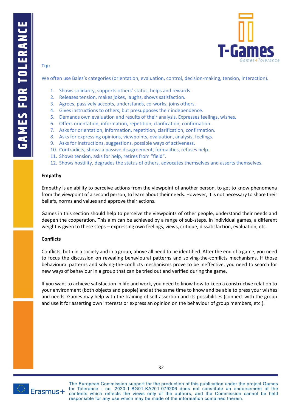

#### **Tip:**

We often use Bales's categories (orientation, evaluation, control, decision-making, tension, interaction).

- 1. Shows solidarity, supports others' status, helps and rewards.
- 2. Releases tension, makes jokes, laughs, shows satisfaction.
- 3. Agrees, passively accepts, understands, co-works, joins others.
- 4. Gives instructions to others, but presupposes their independence.
- 5. Demands own evaluation and results of their analysis. Expresses feelings, wishes.
- 6. Offers orientation, information, repetition, clarification, confirmation.
- 7. Asks for orientation, information, repetition, clarification, confirmation.
- 8. Asks for expressing opinions, viewpoints, evaluation, analysis, feelings.
- 9. Asks for instructions, suggestions, possible ways of activeness.
- 10. Contradicts, shows a passive disagreement, formalities, refuses help.
- 11. Shows tension, asks for help, retires from "field".
- 12. Shows hostility, degrades the status of others, advocates themselves and asserts themselves.

#### **Empathy**

Empathy is an ability to perceive actions from the viewpoint of another person, to get to know phenomena from the viewpoint of a second person, to learn about their needs. However, it is not necessary to share their beliefs, norms and values and approve their actions.

Games in this section should help to perceive the viewpoints of other people, understand their needs and deepen the cooperation. This aim can be achieved by a range of sub-steps. In individual games, a different weight is given to these steps – expressing own feelings, views, critique, dissatisfaction, evaluation, etc.

#### **Conflicts**

Conflicts, both in a society and in a group, above all need to be identified. After the end of a game, you need to focus the discussion on revealing behavioural patterns and solving-the-conflicts mechanisms. If those behavioural patterns and solving-the-conflicts mechanisms prove to be ineffective, you need to search for new ways of behaviour in a group that can be tried out and verified during the game.

If you want to achieve satisfaction in life and work, you need to know how to keep a constructive relation to your environment (both objects and people) and at the same time to know and be able to press your wishes and needs. Games may help with the training of self-assertion and its possibilities (connect with the group and use it for asserting own interests or express an opinion on the behaviour of group members, etc.).



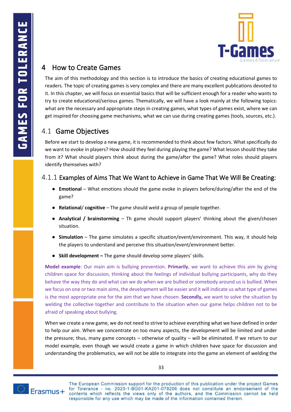

# <span id="page-36-0"></span>4 How to Create Games

The aim of this methodology and this section is to introduce the basics of creating educational games to readers. The topic of creating games is very complex and there are many excellent publications devoted to it. In this chapter, we will focus on essential basics that will be sufficient enough for a reader who wants to try to create educational/serious games. Thematically, we will have a look mainly at the following topics: what are the necessary and appropriate steps in creating games, what types of games exist, where we can get inspired for choosing game mechanisms, what we can use during creating games (tools, sources, etc.).

# <span id="page-36-1"></span>4.1 Game Objectives

Before we start to develop a new game, it is recommended to think about few factors. What specifically do we want to evoke in players? How should they feel during playing the game? What lesson should they take from it? What should players think about during the game/after the game? What roles should players identify themselves with?

### <span id="page-36-2"></span>4.1.1 Examples of Aims That We Want to Achieve in Game That We Will Be Creating:

- **[Emotional](https://habitica.com/static/home)** [–](https://habitica.com/static/home) [What emotions should the game evoke in players before/during/after the end of the](https://habitica.com/static/home)  [game?](https://habitica.com/static/home)
- **Relational**[/](https://habitica.com/static/home) **[c](https://habitica.com/static/home)ognitive** [–](https://habitica.com/static/home) [The game should weld a group of people together.](https://habitica.com/static/home)
- **[Analytical / brainstorming](https://habitica.com/static/home)** [–](https://habitica.com/static/home) Th [game should support players' thinking about the given/chosen](https://habitica.com/static/home)  [situation.](https://habitica.com/static/home)
- **[Simulation](https://habitica.com/static/home)** [–](https://habitica.com/static/home) [The game simulates a specific situation/event/environment. This way, it should help](https://habitica.com/static/home)  [the players to understand and perceive this situation/event/environment better.](https://habitica.com/static/home)
- **[Skill development](https://habitica.com/static/home) –** [The game should develop some players' skills.](https://habitica.com/static/home)

**Model example**: Our main aim is bullying prevention. **Primarily**, we want to achieve this aim by giving children space for discussion, thinking about the feelings of individual bullying participants, why do they behave the way they do and what can we do when we are bullied or somebody around us is bullied. When we focus on one or two main aims, the development will be easier and it will indicate us what type of games is the most appropriate one for the aim that we have chosen. **Secondly,** we want to solve the situation by welding the collective together and contribute to the situation when our game helps children not to be afraid of speaking about bullying.

When we create a new game, we do not need to strive to achieve everything what we have defined in order to help our aim. When we concentrate on too many aspects, the development will be limited and under the pressure; thus, many game concepts – otherwise of quality – will be eliminated. If we return to our model example, even though we would create a game in which children have space for discussion and understanding the problematics, we will not be able to integrate into the game an element of welding the

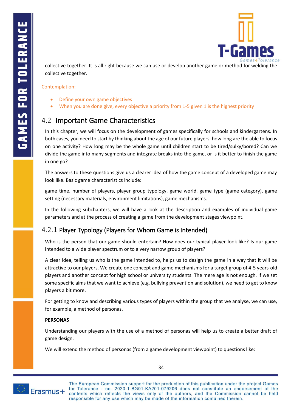

collective together. It is all right because we can use or develop another game or method for welding the collective together.

Contemplation:

- Define your own game objectives
- <span id="page-37-0"></span>When you are done give, every objective a priority from 1-5 given 1 is the highest priority

# 4.2 Important Game Characteristics

In this chapter, we will focus on the development of games specifically for schools and kindergartens. In both cases, you need to start by thinking about the age of our future players: how long are the able to focus on one activity? How long may be the whole game until children start to be tired/sulky/bored? Can we divide the game into many segments and integrate breaks into the game, or is it better to finish the game in one go?

The answers to these questions give us a clearer idea of how the game concept of a developed game may look like. Basic game characteristics include:

game time, number of players, player group typology, game world, game type (game category), game setting (necessary materials, environment limitations), game mechanisms.

In the following subchapters, we will have a look at the description and examples of individual game parameters and at the process of creating a game from the development stages viewpoint.

### <span id="page-37-1"></span>4.2.1 Player Typology (Players for Whom Game is Intended)

Who is the person that our game should entertain? How does our typical player look like? Is our game intended to a wide player spectrum or to a very narrow group of players?

A clear idea, telling us who is the game intended to, helps us to design the game in a way that it will be attractive to our players. We create one concept and game mechanisms for a target group of 4-5 years-old players and another concept for high school or university students. The mere age is not enough. If we set some specific aims that we want to achieve (e.g. bullying prevention and solution), we need to get to know players a bit more.

For getting to know and describing various types of players within the group that we analyse, we can use, for example, a method of personas.

#### **PERSONAS**

Understanding our players with the use of a method of personas will help us to create a better draft of game design.

We will extend the [method of personas \(from a game development viewpoint\) to questions like:](https://habitica.com/static/home)



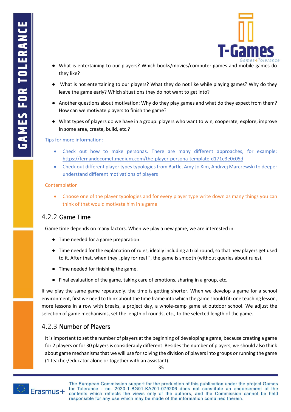

- What is entertaining to our players? Which books/movies/computer games and mobile games do [they like?](https://habitica.com/static/home)
- What is not entertaining to our players? What they do not like while playing games? Why do they [leave the game early? Which situations they do not want to get into?](https://habitica.com/static/home)
- Another questions about motivation: Why do they play games and what do they expect from them? [How can we motivate players to finish the game?](https://habitica.com/static/home)
- What types of players do we have in a group: players who want to win, cooperate, explore, improve [in some area, create, build, etc.?](https://habitica.com/static/home)

Tips for more information:

- Check out how to make personas. There are many different approaches, for example: <https://fernandocomet.medium.com/the-player-persona-template-d171e3e0c05d>
- Check out different player types typologies from Bartle, Amy Jo Kim, Andrzej Marczewski to deeper understand different motivations of players

#### Contemplation

• Choose one of the player typologies and for every player type write down as many things you can think of that would motivate him in a game.

### <span id="page-38-0"></span>4.2.2 Game Time

[Game time depends on many factors. When we play a new game, we are interested in:](https://habitica.com/static/home) 

- [Time needed for a game preparation.](https://habitica.com/static/home)
- Time needed for the explanation of rules, ideally including a trial round, so that new players get used to it. After that, when they "play for real "[, the game is smooth \(without queries about rules\).](https://habitica.com/static/home)
- [Time needed for finishing the game.](https://habitica.com/static/home)
- [Final evaluation of the game, taking care of emotions, sharing in a group, etc.](https://habitica.com/static/home)

If we play the same game repeatedly, the time is getting shorter. When we develop a game for a school environment, first we need to think about the time frame into which the game should fit: one teaching lesson, more lessons in a row with breaks, a project day, a whole-camp game at outdoor school. We adjust the selection of game mechanisms, set the length of rounds, etc., to the selected length of the game.

### <span id="page-38-1"></span>4.2.3 Number of Players

It is important to set the number of players at the beginning of developing a game, because creating a game for 2 players or for 30 players is considerably different. Besides the number of players, we should also think about game mechanisms that we will use for solving the division of players into groups or running the game (1 teacher/educator alone or together with an assistant).

35

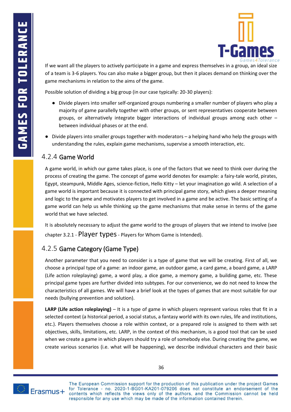

If we want all the players to actively participate in a game and express themselves in a group, an ideal size of a team is 3-6 players. You can also make a bigger group, but then it places demand on thinking over the game mechanisms in relation to the aims of the game.

[Possible solution of dividing a big group \(in our case typically: 20-30 players\):](https://habitica.com/static/home)

- [Divide players into smaller self-organized groups numbering a smaller number of players who play a](https://habitica.com/static/home)  [majority of game parallelly together with other groups, or sent representatives cooperate between](https://habitica.com/static/home)  [groups, or alternatively integrate bigger interactions of individual groups among each other](https://habitica.com/static/home) – [between individual phases or at the end.](https://habitica.com/static/home)
- [Divide players into smaller groups together with moderators](https://habitica.com/static/home)  a helping hand who help the groups with understanding the rules, [explain game mechanisms, supervise a smooth interaction, etc.](https://habitica.com/static/home)

#### <span id="page-39-0"></span>4.2.4 Game World

A game world, in which our game takes place, is one of the factors that we need to think over during the process of creating the game. The concept of game world denotes for example: a fairy-tale world, pirates, Egypt, steampunk, Middle Ages, science-fiction, Hello Kitty – let your imagination go wild. A selection of a game world is important because it is connected with principal game story, which gives a deeper meaning and logic to the game and motivates players to get involved in a game and be active. The basic setting of a game world can help us while thinking up the game mechanisms that make sense in terms of the game world that we have selected.

It is absolutely necessary to adjust the game world to the groups of players that we intend to involve (see chapter [3.2.1](#page-26-0) - [Player types](#page-26-0) - Players for Whom Game is Intended).

### <span id="page-39-1"></span>4.2.5 Game Category (Game Type)

Another parameter that you need to consider is a type of game that we will be creating. First of all, we choose a principal type of a game: an indoor game, an outdoor game, a card game, a board game, a LARP (Life action roleplaying) game, a word play, a dice game, a memory game, a building game, etc. These principal game types are further divided into subtypes. For our convenience, we do not need to know the characteristics of all games. We will have a brief look at the types of games that are most suitable for our needs (bullying prevention and solution).

**LARP (Life action roleplaying)** – It is a type of game in which players represent various roles that fit in a selected context (a historical period, a social status, a fantasy world with its own rules, life and institutions, etc.). Players themselves choose a role within context, or a prepared role is assigned to them with set objectives, skills, limitations, etc. LARP, in the context of this mechanism, is a good tool that can be used when we create a game in which players should try a role of somebody else. During creating the game, we create various scenarios (i.e. what will be happening), we describe individual characters and their basic



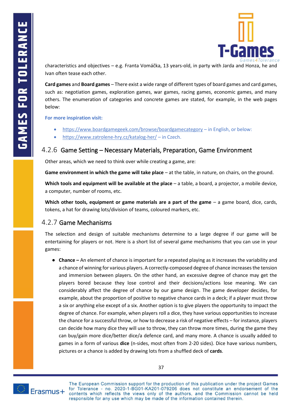

characteristics and objectives – e.g. Franta Vomáčka, 13 years-old, in party with Jarda and Honza, he and Ivan often tease each other.

**Card games** and **Board games** – There exist a wide range of different types of board games and card games, such as: negotiation games, exploration games, war games, racing games, economic games, and many others. The enumeration of categories and concrete games are stated, for example, in the web pages below:

**For more inspiration visit:**

- [https://www.boardgamegeek.com/browse/boardgamecategory](https://habitica.com/static/home) [–](https://habitica.com/static/home) in English, or below:
- <span id="page-40-0"></span>• [https://www.zatrolene-hry.cz/katalog-her/](https://habitica.com/static/home) – [in Czech.](https://habitica.com/static/home)

### 4.2.6 Game Setting – Necessary Materials, Preparation, Game Environment

Other areas, which we need to think over while creating a game, are:

**Game environment in which the game will take place** – at the table, in nature, on chairs, on the ground.

**Which tools and equipment will be available at the place** – a table, a board, a projector, a mobile device, a computer, number of rooms, etc.

**Which other tools, equipment or game materials are a part of the game** – a game board, dice, cards, tokens, a hat for drawing lots/division of teams, coloured markers, etc.

### <span id="page-40-1"></span>4.2.7 Game Mechanisms

The selection and design of suitable mechanisms determine to a large degree if our game will be entertaining for players or not. Here is a short list of several game mechanisms that you can use in your games:

● **[Chance](https://habitica.com/static/home) –** An element of chance is important for a repeated playing as it increases the variability and a chance of winning for various players. A correctly-composed degree of chance increases the tension and immersion between players. On the other hand, an excessive degree of chance may get the players bored because they lose control and their decisions/actions lose meaning. We can considerably affect the degree of chance by our game design. The game developer decides, for example, about the proportion of positive to negative chance cards in a deck; if a player must throw a six or anything else except of a six. Another option is to give players the opportunity to impact the degree of chance. For example, when players roll a dice, they have various opportunities to increase the chance for a successful throw, or how to decrease a risk of negative effects – for instance, players can decide how many dice they will use to throw, they can throw more times, during the game they can buy/gain more dice/better dice/a defence card, and many more. A chance is usually added to games in a form of various **dice** (n-sides, most often from 2-20 sides). Dice have various numbers, pictures or a chance is added by drawing lots from a shuffled deck of **cards**.

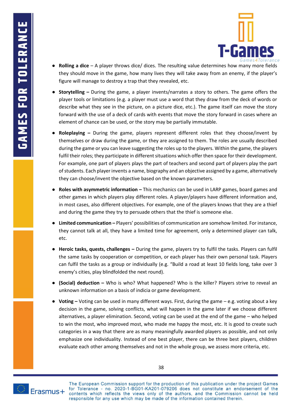

- **[Rolling](https://habitica.com/static/home) a dice** [–](https://habitica.com/static/home) [A player throws dice/ dices. The resulting value determines how many more fields](https://habitica.com/static/home)  [they should move in the game, how many lives they will](https://habitica.com/static/home) take away from an enemy, if the player's [figure will manage to destroy a trap that they revealed, etc.](https://habitica.com/static/home)
- **[Storytelling](https://habitica.com/static/home) –** During the game, [a player invents/narrates a story to others. The game offers the](https://habitica.com/static/home)  [player tools or limitations \(e.g. a player must use a word that they draw from the deck of words or](https://habitica.com/static/home)  [describe what they see in the picture, on a picture dice, etc.\). The game itself can move the story](https://habitica.com/static/home)  [forward with the use of a deck of cards with events that move the story forward in cases where an](https://habitica.com/static/home)  [element of chance can be used, or the story may be partially immutable.](https://habitica.com/static/home)
- **[Roleplaying](https://habitica.com/static/home) –** During the game, players represent different roles that they choose/invent by [themselves or draw during the game, or they are assigned to them. The roles are usually described](https://habitica.com/static/home)  [during the game or you can leave suggesting the roles up to the players. Within the game, the players](https://habitica.com/static/home)  [fulfil their roles; they participate in different situations which offer then space for their development.](https://habitica.com/static/home)  For example, one part of players plays [the part of teachers and second part of players play the part](https://habitica.com/static/home)  [of students. Each player invents a name, biography and an objective assigned by a game, alternatively](https://habitica.com/static/home)  [they can choose/invent the objective based on the known parameters.](https://habitica.com/static/home)
- **[Roles with asymmetric information](https://habitica.com/static/home) –** This mechanics can be used in LARP game[s, board games](https://habitica.com/static/home) and [other games in which players play different roles. A player/players have different information and,](https://habitica.com/static/home)  in most cases, [also different objectives. For example, one of the players knows that they are a thief](https://habitica.com/static/home)  [and during the game they try to persuade others that the thief is someone else.](https://habitica.com/static/home)
- **[Limited communication](https://habitica.com/static/home) –** Players' possibilities of communication are somehow limited. For instance, they cannot talk at all, they have a limited time for agreement, [only a determined player can talk,](https://habitica.com/static/home)  [etc.](https://habitica.com/static/home)
- **[Heroic tasks, quests, challenges](https://habitica.com/static/home) –** [During the game, players try to fulfil the tasks. Players can fulfil](https://habitica.com/static/home)  [the same tasks by cooperation or competition, or each player has their own personal task. Players](https://habitica.com/static/home)  [can fulfil the tasks as a group or individually \(e.g. "Build a road at least 10 fields long, take over 3](https://habitica.com/static/home)  enemy's cities, [play blindfolded the next round\).](https://habitica.com/static/home)
- **[\(Social\) deduction](https://habitica.com/static/home) [–](https://habitica.com/static/home)** [Who is who? What happened? Who is the killer?](https://habitica.com/static/home) Players strive to reveal an [unknown information on a basis of indicia or game development.](https://habitica.com/static/home)
- **[Voting](https://habitica.com/static/home) [–](https://habitica.com/static/home)** [Voting can be used in many different ways. First, during the game](https://habitica.com/static/home)  e.g. voting about a key [decision in the game, solving conflicts, what will happen in the game later if we choose different](https://habitica.com/static/home)  [alternatives, a player elimination. Second, voting can be used at the end of the game](https://habitica.com/static/home) – who helped [to win the most, who improved most, who made me happy the most, etc. It is good to create such](https://habitica.com/static/home)  [categories in a way that there are as many meaningfully awarded players as possible, and not only](https://habitica.com/static/home)  emphasize one individuality. [Instead of one best player, there can be three best players, children](https://habitica.com/static/home)  [evaluate each other among themselves and not in the whole group, we assess more criteria, etc.](https://habitica.com/static/home)



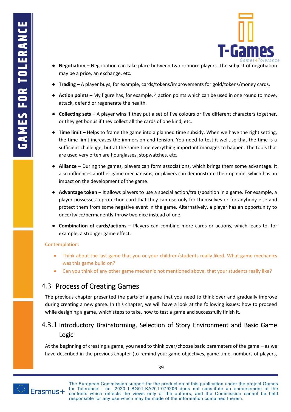

- **[Negotiation](https://habitica.com/static/home) [–](https://habitica.com/static/home)** [Negotiation can take place between two or more players. The subject of negotiation](https://habitica.com/static/home)  [may be a price, an exchange, etc.](https://habitica.com/static/home)
- **[Trading](https://habitica.com/static/home) –** [A player buys, for example, cards/tokens/improvements for gold/tokens/money cards.](https://habitica.com/static/home)
- [Action points](https://habitica.com/static/home)  My figure has, for example, 4 action points which can be used in one round to move, [attack, defend or regenerate the health.](https://habitica.com/static/home)
- **[Collecting sets](https://habitica.com/static/home)** [–](https://habitica.com/static/home) [A player wins if they put a set of five colours or five different characters together,](https://habitica.com/static/home)  [or they get bonus if they collect all the cards of one kind, etc.](https://habitica.com/static/home)
- **[Time](https://habitica.com/static/home) limit [–](https://habitica.com/static/home)** [Helps to frame the game into a planned time subsidy. When we have the right setting,](https://habitica.com/static/home)  [the time limit increases the immersion and tension. You need to test it well, so that the time is a](https://habitica.com/static/home)  [sufficient challenge, but at the same time everything important manages to happen. The tools that](https://habitica.com/static/home)  [are used very often are hourglasses, stopwatches, etc.](https://habitica.com/static/home)
- **[Alliance](https://habitica.com/static/home) –** [During the games, players can form associations, which brings them some advantage. It](https://habitica.com/static/home)  [also influences another game mechanisms, or players can demonstrate their opinion, which has an](https://habitica.com/static/home)  [impact on the development of the game.](https://habitica.com/static/home)
- **[Advantage token](https://habitica.com/static/home) –** [It allows players to use a special action/trait/position in a game. For example, a](https://habitica.com/static/home)  [player possesses a protection card that they can use only for themselves or for anybody else and](https://habitica.com/static/home)  [protect them from some negative event in the game. Alternatively, a player has an opportunity to](https://habitica.com/static/home)  [once/twice/permanently throw two dice instead of one.](https://habitica.com/static/home)
- **[Combination of cards/actions](https://habitica.com/static/home) –** [Players can combine more cards or actions, which leads to, for](https://habitica.com/static/home)  [example, a stronger game effect.](https://habitica.com/static/home)

#### Contemplation:

- Think about the last game that you or your children/students really liked. What game mechanics was this game build on?
- Can you think of any other game mechanic not mentioned above, that your students really like?

# <span id="page-42-0"></span>4.3 Process of Creating Games

The previous chapter presented the parts of a game that you need to think over and gradually improve during creating a new game. In this chapter, we will have a look at the following issues: how to proceed while designing a game, which steps to take, how to test a game and successfully finish it.

# <span id="page-42-1"></span>4.3.1 Introductory Brainstorming, Selection of Story Environment and Basic Game Logic

At the beginning of creating a game, you need to think over/choose basic parameters of the game – as we have described in the previous chapter (to remind you: game objectives, game time, numbers of players,



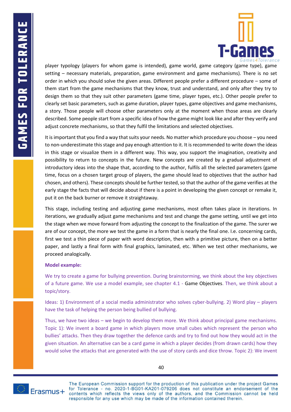

player typology (players for whom game is intended), game world, game category (game type), game setting – necessary materials, preparation, game environment and game mechanisms). There is no set order in which you should solve the given areas. Different people prefer a different procedure – some of them start from the game mechanisms that they know, trust and understand, and only after they try to design them so that they suit other parameters (game time, player types, etc.). Other people prefer to clearly set basic parameters, such as game duration, player types, game objectives and game mechanisms, a story. Those people will choose other parameters only at the moment when those areas are clearly described. Some people start from a specific idea of how the game might look like and after they verify and adjust concrete mechanisms, so that they fulfil the limitations and selected objectives.

It is important that you find a way that suits your needs. No matter which procedure you choose – you need to non-underestimate this stage and pay enough attention to it. It is recommended to write down the ideas in this stage or visualize them in a different way. This way, you support the imagination, creativity and possibility to return to concepts in the future. New concepts are created by a gradual adjustment of introductory ideas into the shape that, according to the author, fulfils all the selected parameters (game time, focus on a chosen target group of players, the game should lead to objectives that the author had chosen, and others). These concepts should be further tested, so that the author of the game verifies at the early stage the facts that will decide about if there is a point in developing the given concept or remake it, put it on the back burner or remove it straightaway.

This stage, including testing and adjusting game mechanisms, most often takes place in iterations. In iterations, we gradually adjust game mechanisms and test and change the game setting, until we get into the stage when we move forward from adjusting the concept to the finalization of the game. The surer we are of our concept, the more we test the game in a form that is nearly the final one. I.e. concerning cards, first we test a thin piece of paper with word description, then with a primitive picture, then on a better paper, and lastly a final form with final graphics, laminated, etc. When we test other mechanisms, we proceed analogically.

#### **Model example:**

We try to create a game for bullying prevention. During brainstorming, we think about the key objectives of a future game. We use a model example, see chapter [4.1](#page-36-1) - [Game Objectives.](#page-36-1) Then, we think about a topic/story.

Ideas: 1) Environment of a social media administrator who solves cyber-bullying. 2) Word play – players have the task of helping the person being bullied of bullying.

Thus, we have two ideas – we begin to develop them more. We think about principal game mechanisms. Topic 1): We invent a board game in which players move small cubes which represent the person who bullies' attacks. Then they draw together the defence cards and try to find out how they would act in the given situation. An alternative can be a card game in which a player decides (from drawn cards) how they would solve the attacks that are generated with the use of story cards and dice throw. Topic 2): We invent

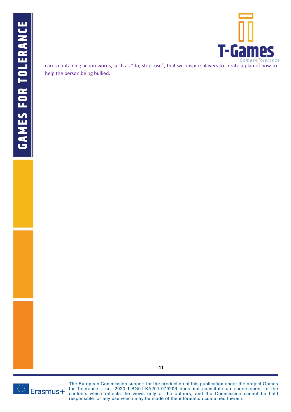

cards containing action words, such as "do, stop, use", that will inspire players to create a plan of how to help the person being bullied.

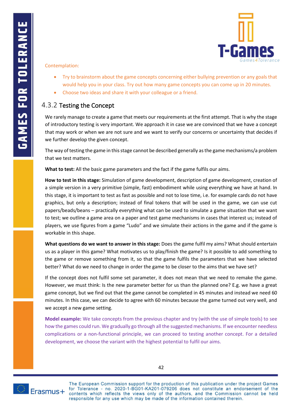

#### Contemplation:

- Try to brainstorm about the game concepts concerning either bullying prevention or any goals that would help you in your class. Try out how many game concepts you can come up in 20 minutes.
- Choose two ideas and share it with your colleague or a friend.

### <span id="page-45-0"></span>4.3.2 Testing the Concept

We rarely manage to create a game that meets our requirements at the first attempt. That is why the stage of introductory testing is very important. We approach it in case we are convinced that we have a concept that may work or when we are not sure and we want to verify our concerns or uncertainty that decides if we further develop the given concept.

The way of testing the game in this stage cannot be described generally as the game mechanisms/a problem that we test matters.

**What to test:** All the basic game parameters and the fact if the game fulfils our aims.

**How to test in this stage:** Simulation of game development, description of game development, creation of a simple version in a very primitive (simple, fast) embodiment while using everything we have at hand. In this stage, it is important to test as fast as possible and not to lose time, i.e. for example cards do not have graphics, but only a description; instead of final tokens that will be used in the game, we can use cut papers/beads/beans – practically everything what can be used to simulate a game situation that we want to test; we outline a game area on a paper and test game mechanisms in cases that interest us; instead of players, we use figures from a game "Ludo" and we simulate their actions in the game and if the game is workable in this shape.

**What questions do we want to answer in this stage:** Does the game fulfil my aims? What should entertain us as a player in this game? What motivates us to play/finish the game? Is it possible to add something to the game or remove something from it, so that the game fulfils the parameters that we have selected better? What do we need to change in order the game to be closer to the aims that we have set?

If the concept does not fulfil some set parameter, it does not mean that we need to remake the game. However, we must think: Is the new parameter better for us than the planned one? E.g. we have a great game concept, but we find out that the game cannot be completed in 45 minutes and instead we need 60 minutes. In this case, we can decide to agree with 60 minutes because the game turned out very well, and we accept a new game setting.

**Model example:** We take concepts from the previous chapter and try (with the use of simple tools) to see how the games could run. We gradually go through all the suggested mechanisms. If we encounter needless complications or a non-functional principle, we can proceed to testing another concept. For a detailed development, we choose the variant with the highest potential to fulfil our aims.

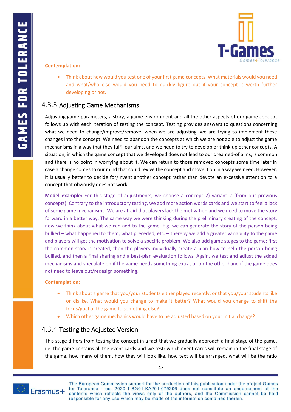

#### **Contemplation:**

• Think about how would you test one of your first game concepts. What materials would you need and what/who else would you need to quickly figure out if your concept is worth further developing or not.

### <span id="page-46-0"></span>4.3.3 Adjusting Game Mechanisms

Adjusting game parameters, a story, a game environment and all the other aspects of our game concept follows up with each iteration of testing the concept. Testing provides answers to questions concerning what we need to change/improve/remove; when we are adjusting, we are trying to implement these changes into the concept. We need to abandon the concepts at which we are not able to adjust the game mechanisms in a way that they fulfil our aims, and we need to try to develop or think up other concepts. A situation, in which the game concept that we developed does not lead to our dreamed-of aims, is common and there is no point in worrying about it. We can return to those removed concepts some time later in case a change comes to our mind that could revive the concept and move it on in a way we need. However, it is usually better to decide for/invent another concept rather than devote an excessive attention to a concept that obviously does not work.

**Model example:** For this stage of adjustments, we choose a concept 2) variant 2 (from our previous concepts). Contrary to the introductory testing, we add more action words cards and we start to feel a lack of some game mechanisms. We are afraid that players lack the motivation and we need to move the story forward in a better way. The same way we were thinking during the preliminary creating of the concept, now we think about what we can add to the game. E.g. we can generate the story of the person being bullied – what happened to them, what preceded, etc. – thereby we add a greater variability to the game and players will get the motivation to solve a specific problem. We also add game stages to the game: first the common story is created, then the players individually create a plan how to help the person being bullied, and then a final sharing and a best-plan evaluation follows. Again, we test and adjust the added mechanisms and speculate on if the game needs something extra, or on the other hand if the game does not need to leave out/redesign something.

#### **Contemplation:**

- Think about a game that you/your students either played recently, or that you/your students like or dislike. What would you change to make it better? What would you change to shift the focus/goal of the game to something else?
- Which other game mechanics would have to be adjusted based on your initial change?

### <span id="page-46-1"></span>4.3.4 Testing the Adjusted Version

This stage differs from testing the concept in a fact that we gradually approach a final stage of the game, i.e. the game contains all the event cards and we test: which event cards will remain in the final stage of the game, how many of them, how they will look like, how text will be arranged, what will be the ratio

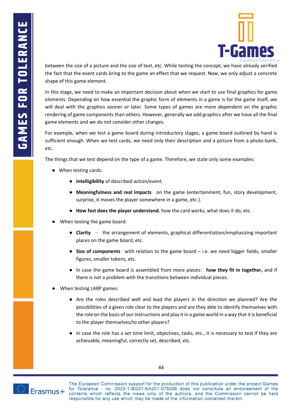

between the size of a picture and the size of text, etc. While testing the concept, we have already verified the fact that the event cards bring to the game an effect that we request. Now, we only adjust a concrete shape of this game element.

In this stage, we need to make an important decision about when we start to use final graphics for game elements. Depending on how essential the graphic form of elements in a game is for the game itself, we will deal with the graphics sooner or later. Some types of games are more dependent on the graphic rendering of game components than others. However, generally we add graphics after we have all the final game elements and we do not consider other changes.

For example, when we test a game board during introductory stages, a game board outlined by hand is sufficient enough. When we test cards, we need only their description and a picture from a photo-bank, etc.

The things that we test depend on the type of a game. Therefore, we state only some examples:

- [When testing cards:](https://habitica.com/static/home)
	- **[Intelligibility](https://habitica.com/static/home)** of described [action/event.](https://habitica.com/static/home)
	- **[Meaningfulness and real impacts](https://habitica.com/static/home)** [on the game \(entertainment, fun, story development,](https://habitica.com/static/home)  [surprise, it moves the player somewhere in a game, etc.\).](https://habitica.com/static/home)
	- **[How](https://habitica.com/static/home) fast does the player understand**[, how the card works, what does it do, etc.](https://habitica.com/static/home)
- [When testing the game board:](https://habitica.com/static/home)
	- **[Clarity](https://habitica.com/static/home)** [–](https://habitica.com/static/home) [the arrangement of elements, graphical differentiation/emphasizing important](https://habitica.com/static/home)  [places on the game board, etc.](https://habitica.com/static/home)
	- **[Size of components](https://habitica.com/static/home)** with relation to the game board [i.e. we need bigger fields, smaller](https://habitica.com/static/home)  [figures, smaller tokens, etc.](https://habitica.com/static/home)
	- [In case the game board is assembled from more pieces:](https://habitica.com/static/home) **[how they fit in together,](https://habitica.com/static/home)** and if there is not a problem with the transitions between individual pieces.
- [When testing LARP games:](https://habitica.com/static/home)
	- [Are the roles described well and lead the players in the direction we planned? Are the](https://habitica.com/static/home)  [possibilities of a given role clear to the players and are they able to identify themselves with](https://habitica.com/static/home)  [the role on the basis of our instructions and play it in a game world in a way that it is beneficial](https://habitica.com/static/home)  [to the player themselves/to other players?](https://habitica.com/static/home)
	- [In case the role has a set time limit, objectives, tasks, etc., it is necessary to](https://habitica.com/static/home) test if they are [achievable, meaningful, correctly set, described, etc.](https://habitica.com/static/home)

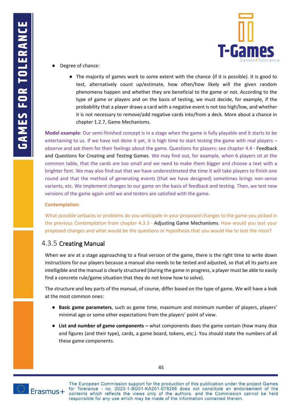

- [Degree of chance:](https://habitica.com/static/home)
	- [The majority of games work to some extent with the chance \(if it is possible\). It is good to](https://habitica.com/static/home)  [test, alternatively count up/estimate, how often/how likely will the given random](https://habitica.com/static/home)  [phenomena happen and whether they are beneficial to the game or not. According to the](https://habitica.com/static/home)  [type of game or players and on the basis of testing, we must decide, for example, if the](https://habitica.com/static/home)  [probability that a player draws a card with a negative event is not too high/low, and whether](https://habitica.com/static/home)  [it is not necessary to remove/add negative cards into/from a deck. More about a chance in](https://habitica.com/static/home)  chapter 1.2.7, [Game Mechanisms.](https://habitica.com/static/home)

**Model example**: Our semi-finished concept is in a stage when the game is fully playable and it starts to be entertaining to us. If we have not done it yet, it is high time to start testing the game with real players – observe and ask them for their feelings about the game. Questions for players: see chapter [4.4](#page-50-0) - [Feedback](#page-50-0)  [and Questions for Creating and Testing Games.](#page-50-0) We may find out, for example, when 6 players sit at the common table, that the cards are too small and we need to make them bigger and choose a text with a brighter font. We may also find out that we have underestimated the time it will take players to finish one round and that the method of generating events (that we have designed) sometimes brings non-sense variants, etc. We implement changes to our game on the basis of feedback and testing. Then, we test new versions of the game again until we and testers are satisfied with the game.

#### **Contemplation**:

What possible setbacks or problems do you anticipate in your proposed changes to the game you picked in the previous *Contemplation* from chapter [4.3.3](#page-46-0) - [Adjusting Game Mechanisms.](#page-46-0) How would you test your proposed changes and what would be the questions or hypothesis that you would like to test the most?

### <span id="page-48-0"></span>4.3.5 Creating Manual

When we are at a stage approaching to a final version of the game, there is the right time to write down instructions for our players because a manual also needs to be tested and adjusted, so that all its parts are intelligible and the manual is clearly structured (during the game in progress, a player must be able to easily find a concrete rule/game situation that they do not know how to solve).

[The structure and key parts of the manual, of course, differ based on the type of game. We will have a look](https://habitica.com/static/home)  [at the most common ones:](https://habitica.com/static/home)

- **[Basic game parameters](https://habitica.com/static/home)**, such as [game time, maximum and minimum number of players, players'](https://habitica.com/static/home)  [minimal age or some other expectations from the players' point o](https://habitica.com/static/home)f view.
- **[List and number of game components](https://habitica.com/static/home) –** [what components does the game contain \(how many dice](https://habitica.com/static/home)  [and figures \(and their type\), cards, a game board, tokens, etc.\). You should state the numbers of all](https://habitica.com/static/home)  [these game components.](https://habitica.com/static/home)

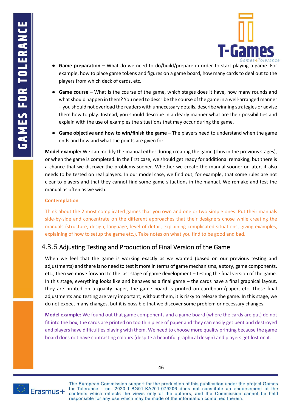

- **[Game preparation](https://habitica.com/static/home) –** [What do we need to do/build/prepare in order to start playing](https://habitica.com/static/home) a game. For [example, how to place game tokens and figures on a game board, how many cards to deal out to the](https://habitica.com/static/home)  [players from which deck of cards, etc.](https://habitica.com/static/home)
- **Game course** What is the course of the game, which stages does it have, how many rounds and [what should happen in them? You need to describe the course of the game in a well-arranged manner](https://habitica.com/static/home)  – [you should not overload the readers with unnecessary details, describe winning strategies or advise](https://habitica.com/static/home)  [them how to play. Instead, you should describe in a clearly manner what are their possibilities and](https://habitica.com/static/home)  [explain with the use of examples the situations that may occur during the game.](https://habitica.com/static/home)
- **[Game objective and how to win/finish the game](https://habitica.com/static/home) [–](https://habitica.com/static/home)** [The players need to understand when the game](https://habitica.com/static/home)  [ends and how and what the points are given for.](https://habitica.com/static/home)

**Model example:** We can modify the manual either during creating the game (thus in the previous stages), or when the game is completed. In the first case, we should get ready for additional remaking, but there is a chance that we discover the problems sooner. Whether we create the manual sooner or later, it also needs to be tested on real players. In our model case, we find out, for example, that some rules are not clear to players and that they cannot find some game situations in the manual. We remake and test the manual as often as we wish.

#### **Contemplation**

Think about the 2 most complicated games that you own and one or two simple ones. Put their manuals side-by-side and concentrate on the different approaches that their designers chose while creating the manuals (structure, design, language, level of detail, explaining complicated situations, giving examples, explaining of how to setup the game etc.). Take notes on what you find to be good and bad.

### <span id="page-49-0"></span>4.3.6 Adjusting Testing and Production of Final Version of the Game

When we feel that the game is working exactly as we wanted (based on our previous testing and adjustments) and there is no need to test it more in terms of game mechanisms, a story, game components, etc., then we move forward to the last stage of game development – testing the final version of the game. In this stage, everything looks like and behaves as a final game – the cards have a final graphical layout, they are printed on a quality paper, the game board is printed on cardboard/paper, etc. These final adjustments and testing are very important; without them, it is risky to release the game. In this stage, we do not expect many changes, but it is possible that we discover some problem or necessary changes.

**Model example:** We found out that game components and a game board (where the cards are put) do not fit into the box, the cards are printed on too thin piece of paper and they can easily get bent and destroyed and players have difficulties playing with them. We need to choose more quality printing because the game board does not have contrasting colours (despite a beautiful graphical design) and players get lost on it.

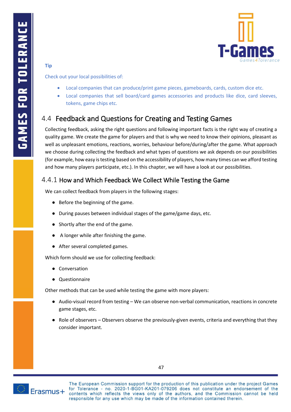

#### **Tip**

Check out your local possibilities of:

- Local companies that can produce/print game pieces, gameboards, cards, custom dice etc.
- Local companies that sell board/card games accessories and products like dice, card sleeves, tokens, game chips etc.

# <span id="page-50-0"></span>4.4 Feedback and Questions for Creating and Testing Games

Collecting feedback, asking the right questions and following important facts is the right way of creating a quality game. We create the game for players and that is why we need to know their opinions, pleasant as well as unpleasant emotions, reactions, worries, behaviour before/during/after the game. What approach we choose during collecting the feedback and what types of questions we ask depends on our possibilities (for example, how easy is testing based on the accessibility of players, how many times can we afford testing and how many players participate, etc.). In this chapter, we will have a look at our possibilities.

### <span id="page-50-1"></span>4.4.1 How and Which Feedback We Collect While Testing the Game

[We can collect feedback from players in the following stages:](https://habitica.com/static/home)

- [Before](https://habitica.com/static/home) the beginning of the game.
- During pauses between individual stages of the game/game days, etc.
- [Shortly](https://habitica.com/static/home) after the end of the game.
- A [longer while after finishing the game.](https://habitica.com/static/home)
- [After several completed games.](https://habitica.com/static/home)

[Which form should we use for collecting feedback:](https://habitica.com/static/home)

- [Conversation](https://habitica.com/static/home)
- [Questionnaire](https://habitica.com/static/home)

[Other methods that can be used while testing the game with more players:](https://habitica.com/static/home)

- Audio-visual record from testing We can observe non-verbal communication, reactions in concrete [game stages, etc.](https://habitica.com/static/home)
- Role of observers Observers observe the previously-given events, criteria and everything that they [consider important.](https://habitica.com/static/home)



The European Commission support for the production of this publication under the project Games for Tolerance - no. 2020-1-BG01-KA201-079206 does not constitute an endorsement of the

contents which reflects the views only of the authors, and the Commission cannot be held

responsible for any use which may be made of the information contained therein.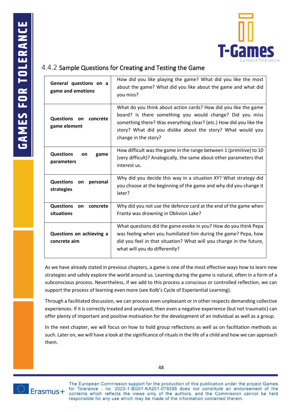

### <span id="page-51-0"></span>4.4.2 Sample Questions for Creating and Testing the Game

| General questions on a<br>game and emotions      | How did you like playing the game? What did you like the most<br>about the game? What did you like about the game and what did<br>you miss?                                                                                                                                              |
|--------------------------------------------------|------------------------------------------------------------------------------------------------------------------------------------------------------------------------------------------------------------------------------------------------------------------------------------------|
| Questions on<br>concrete<br>game element         | What do you think about action cards? How did you like the game<br>board? Is there something you would change? Did you miss<br>something there? Was everything clear? (etc.) How did you like the<br>story? What did you dislike about the story? What would you<br>change in the story? |
| <b>Questions</b><br>on<br>game<br>parameters     | How difficult was the game in the range between 1 (primitive) to 10<br>(very difficult)? Analogically, the same about other parameters that<br>interest us.                                                                                                                              |
| <b>Questions</b><br>personal<br>on<br>strategies | Why did you decide this way in a situation XY? What strategy did<br>you choose at the beginning of the game and why did you change it<br>later?                                                                                                                                          |
| <b>Questions</b><br>concrete<br>on<br>situations | Why did you not use the defence card at the end of the game when<br>Franta was drowning in Oblivion Lake?                                                                                                                                                                                |
| Questions on achieving a<br>concrete aim         | What questions did the game evoke in you? How do you think Pepa<br>was feeling when you humiliated him during the game? Pepa, how<br>did you feel in that situation? What will you change in the future,<br>what will you do differently?                                                |

As we have already stated in previous chapters, a game is one of the most effective ways how to learn new strategies and safely explore the world around us. Learning during the game is natural, often in a form of a subconscious process. Nevertheless, if we add to this process a conscious or controlled reflection, we can support the process of learning even more (see Kolb's Cycle of Experiential Learning).

Through a facilitated discussion, we can process even unpleasant or in other respects demanding collective experiences. If it is correctly treated and analysed, then even a negative experience (but not traumatic) can offer plenty of important and positive motivation for the development of an individual as well as a group.

In the next chapter, we will focus on how to hold group reflections as well as on facilitation methods as such. Later on, we will have a look at the significance of rituals in the life of a child and how we can approach them.

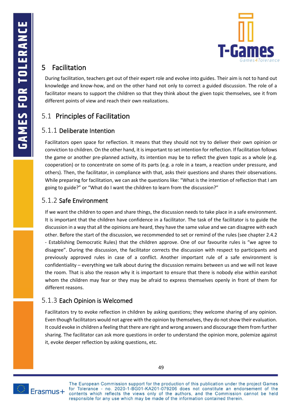

# <span id="page-52-0"></span>5 Facilitation

During facilitation, teachers get out of their expert role and evolve into guides. Their aim is not to hand out knowledge and know-how, and on the other hand not only to correct a guided discussion. The role of a facilitator means to support the children so that they think about the given topic themselves, see it from different points of view and reach their own realizations.

# <span id="page-52-1"></span>5.1 Principles of Facilitation

### <span id="page-52-2"></span>5.1.1 Deliberate Intention

Facilitators open space for reflection. It means that they should not try to deliver their own opinion or conviction to children. On the other hand, it is important to set intention for reflection. If facilitation follows the game or another pre-planned activity, its intention may be to reflect the given topic as a whole (e.g. cooperation) or to concentrate on some of its parts (e.g. a role in a team, a reaction under pressure, and others). Then, the facilitator, in compliance with that, asks their questions and shares their observations. While preparing for facilitation, we can ask the questions like: "What is the intention of reflection that I am going to guide?" or "What do I want the children to learn from the discussion?"

### <span id="page-52-3"></span>5.1.2 Safe Environment

If we want the children to open and share things, the discussion needs to take place in a safe environment. It is important that the children have confidence in a facilitator. The task of the facilitator is to guide the discussion in a way that all the opinions are heard, they have the same value and we can disagree with each other. Before the start of the discussion, we recommended to set or remind of the rules (see chapter [2.4.2](#page-14-0) - [Establishing Democratic Rules\)](#page-14-0) that the children approve. One of our favourite rules is "we agree to disagree". During the discussion, the facilitator corrects the discussion with respect to participants and previously approved rules in case of a conflict. Another important rule of a safe environment is confidentiality – everything we talk about during the discussion remains between us and we will not leave the room. That is also the reason why it is important to ensure that there is nobody else within earshot whom the children may fear or they may be afraid to express themselves openly in front of them for different reasons.

### <span id="page-52-4"></span>5.1.3 Each Opinion is Welcomed

Facilitators try to evoke reflection in children by asking questions; they welcome sharing of any opinion. Even though facilitators would not agree with the opinion by themselves, they do not show their evaluation. It could evoke in children a feeling that there are right and wrong answers and discourage them from further sharing. The facilitator can ask more questions in order to understand the opinion more, polemize against it, evoke deeper reflection by asking questions, etc.

49

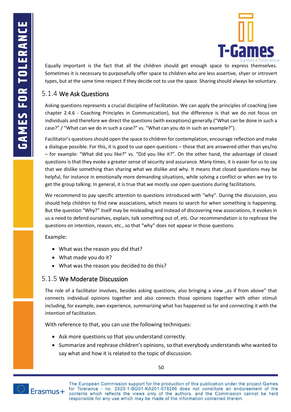

Equally important is the fact that all the children should get enough space to express themselves. Sometimes it is necessary to purposefully offer space to children who are less assertive, shyer or introvert types, but at the same time respect if they decide not to use the space. Sharing should always be voluntary.

### <span id="page-53-0"></span>5.1.4 We Ask Questions

Asking questions represents a crucial discipline of facilitation. We can apply the principles of coaching (see chapter [2.4.6](#page-20-0) - [Coaching Principles in Communication\)](#page-20-0), but the difference is that we do not focus on individuals and therefore we direct the questions (with exceptions) generally ("What can be done in such a case?" / "What can we do in such a case?" vs. "What can you do in such an example?").

Facilitator's questions should open the space to children for contemplation, encourage reflection and make a dialogue possible. For this, it is good to use open questions – those that are answered other than yes/no – for example: "What did you like?" vs. "Did you like it?". On the other hand, the advantage of closed questions is that they evoke a greater sense of security and assurance. Many times, it is easier for us to say that we dislike something than sharing what we dislike and why. It means that closed questions may be helpful, for instance in emotionally more demanding situations, while solving a conflict or when we try to get the group talking. In general, it is true that we mostly use open questions during facilitations.

We recommend to pay specific attention to questions introduced with "why". During the discussion, you should help children to find new associations, which means to search for when something is happening. But the question "Why?" itself may be misleading and instead of discovering new associations, it evokes in us a need to defend ourselves, explain, talk something out of, etc. Our recommendation is to rephrase the questions on intention, reason, etc., so that "why" does not appear in those questions.

[Example:](https://habitica.com/static/home)

- [What](https://habitica.com/static/home) was the reason you did that?
- [What](https://habitica.com/static/home) made you do it?
- [What was the reason you decided to do this?](https://habitica.com/static/home)

### <span id="page-53-1"></span>5.1.5 We Moderate Discussion

The role of a facilitator involves, besides asking questions, also bringing a view "as if from above" that connects individual opinions together and also connects those opinions together with other stimuli including, for example, own experience, summarizing what has happened so far and connecting it with the intention of facilitation.

[With reference to that, you can use the following techniques:](https://habitica.com/static/home)

- [Ask more questions so that you understand correctly.](https://habitica.com/static/home)
- Summarize and rephrase children's opinions, [so that everybody understands who wanted to](https://habitica.com/static/home)  [say what and how it is related to the topic of discussion.](https://habitica.com/static/home)

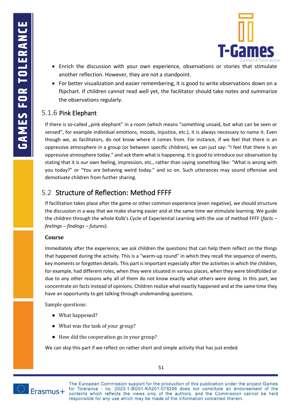

- Enrich the discussion with your [own experience, observations or stories that stimulate](https://habitica.com/static/home)  [another reflection. However, they are not a standpoint.](https://habitica.com/static/home)
- [For better visualization and easier remembering, it is good to write observations down on a](https://habitica.com/static/home)  [flipchart. If children cannot read well yet, the facilitator should take notes and summarize](https://habitica.com/static/home)  [the observations regularly.](https://habitica.com/static/home)

### <span id="page-54-0"></span>5.1.6 Pink Elephant

If there is so-called "pink elephant" in a room (which means "something unsaid, but what can be seen or sensed", for example individual emotions, moods, injustice, etc.), it is always necessary to name it. Even though we, as facilitators, do not know where it comes from. For instance, if we feel that there is an oppressive atmosphere in a group (or between specific children), we can just say: "I feel that there is an oppressive atmosphere today." and ask them what is happening. It is good to introduce our observation by stating that it is our own feeling, impression, etc., rather than saying something like: "What is wrong with you today?" or "You are behaving weird today." and so on. Such utterances may sound offensive and demotivate children from further sharing.

# <span id="page-54-1"></span>5.2 Structure of Reflection: Method FFFF

If facilitation takes place after the game or other common experience (even negative), we should structure the discussion in a way that we make sharing easier and at the same time we stimulate learning. We guide the children through the whole Kolb's Cycle of Experiential Learning with the use of method FFFF (*facts* – *feelings* – *findings* – *futures*).

### **Course**

Immediately after the experience, we ask children the questions that can help them reflect on the things that happened during the activity. This is a "warm-up round" in which they recall the sequence of events, key moments or forgotten details. This part is important especially after the activities in which the children, for example, had different roles, when they were situated in various places, when they were blindfolded or due to any other reasons why all of them do not know exactly what others were doing. In this part, we concentrate on facts instead of opinions. Children realize what exactly happened and at the same time they have an opportunity to get talking through undemanding questions.

[Sample questions:](https://habitica.com/static/home)

- What happened?
- [What was the task of your group?](https://habitica.com/static/home)
- How did the cooperation go in your group?

We can skip this part if we reflect on rather short and simple activity that has just ended.

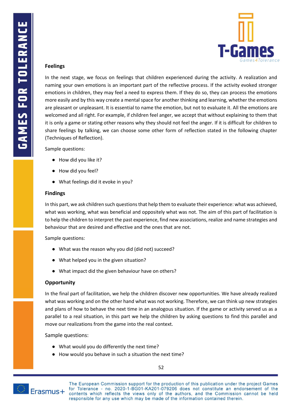

#### **Feelings**

In the next stage, we focus on feelings that children experienced during the activity. A realization and naming your own emotions is an important part of the reflective process. If the activity evoked stronger emotions in children, they may feel a need to express them. If they do so, they can process the emotions more easily and by this way create a mental space for another thinking and learning, whether the emotions are pleasant or unpleasant. It is essential to name the emotion, but not to evaluate it. All the emotions are welcomed and all right. For example, if children feel anger, we accept that without explaining to them that it is only a game or stating other reasons why they should not feel the anger. If it is difficult for children to share feelings by talking, we can choose some other form of reflection stated in the following chapter (Techniques of Reflection).

[Sample questions:](https://habitica.com/static/home)

- How did you like it?
- How did you feel?
- What feelings did it evoke in you?

#### **Findings**

In this part, we ask children such questions that help them to evaluate their experience: what was achieved, what was working, what was beneficial and oppositely what was not. The aim of this part of facilitation is to help the children to interpret the past experience, find new associations, realize and name strategies and behaviour that are desired and effective and the ones that are not.

[Sample questions:](https://habitica.com/static/home)

- What was the reason why you did (did not) succeed?
- What helped you in the given situation?
- [What](https://habitica.com/static/home) impact did the given behaviour have on others?

#### **Opportunity**

In the final part of facilitation, we help the children discover new opportunities. We have already realized what was working and on the other hand what was not working. Therefore, we can think up new strategies and plans of how to behave the next time in an analogous situation. If the game or activity served us as a parallel to a real situation, in this part we help the children by asking questions to find this parallel and move our realizations from the game into the real context.

[Sample questions:](https://habitica.com/static/home)

- [What](https://habitica.com/static/home) would you do differently the next time?
- [How would you behave in such a situation the next time?](https://habitica.com/static/home)

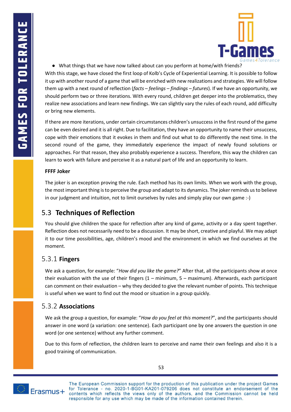

● [What things that we have now talked about can you perform at home/with friends?](https://habitica.com/static/home)

With this stage, we have closed the first loop of Kolb's Cycle of Experiential Learning. It is possible to follow it up with another round of a game that will be enriched with new realizations and strategies. We will follow them up with a next round of reflection (*facts* – *feelings* – *findings* – *futures*). If we have an opportunity, we should perform two or three iterations. With every round, children get deeper into the problematics, they realize new associations and learn new findings. We can slightly vary the rules of each round, add difficulty or bring new elements.

If there are more iterations, under certain circumstances children's unsuccess in the first round of the game can be even desired and it is all right. Due to facilitation, they have an opportunity to name their unsuccess, cope with their emotions that it evokes in them and find out what to do differently the next time. In the second round of the game, they immediately experience the impact of newly found solutions or approaches. For that reason, they also probably experience a success. Therefore, this way the children can learn to work with failure and perceive it as a natural part of life and an opportunity to learn.

#### **FFFF Joker**

The joker is an exception proving the rule. Each method has its own limits. When we work with the group, the most important thing is to perceive the group and adapt to its dynamics. The joker reminds us to believe in our judgment and intuition, not to limit ourselves by rules and simply play our own game :-)

# <span id="page-56-0"></span>5.3 **Techniques of Reflection**

You should give children the space for reflection after any kind of game, activity or a day spent together. Reflection does not necessarily need to be a discussion. It may be short, creative and playful. We may adapt it to our time possibilities, age, children's mood and the environment in which we find ourselves at the moment.

### <span id="page-56-1"></span>5.3.1 **Fingers**

We ask a question, for example: "*How did you like the game?*" After that, all the participants show at once their evaluation with the use of their fingers  $(1 - \text{minimum}, 5 - \text{maximum})$ . Afterwards, each participant can comment on their evaluation – why they decided to give the relevant number of points. This technique is useful when we want to find out the mood or situation in a group quickly.

### <span id="page-56-2"></span>5.3.2 **Associations**

We ask the group a question, for example: "*How do you feel at this moment?*", and the participants should answer in one word (a variation: one sentence). Each participant one by one answers the question in one word (or one sentence) without any further comment.

Due to this form of reflection, the children learn to perceive and name their own feelings and also it is a good training of communication.



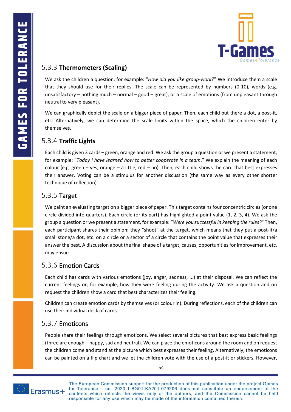

### <span id="page-57-0"></span>5.3.3 **Thermometers (Scaling)**

We ask the children a question, for example: "*How did you like group-work?*" We introduce them a scale that they should use for their replies. The scale can be represented by numbers (0-10), words (e.g. unsatisfactory – nothing much – normal – good – great), or a scale of emotions (from unpleasant through neutral to very pleasant).

We can graphically depict the scale on a bigger piece of paper. Then, each child put there a dot, a post-it, etc. Alternatively, we can determine the scale limits within the space, which the children enter by themselves.

### <span id="page-57-1"></span>5.3.4 **Traffic Lights**

Each child is given 3 cards – green, orange and red. We ask the group a question or we present a statement, for example: "*Today I have learned how to better cooperate in a team*." We explain the meaning of each colour (e.g. green – yes, orange – a little, red – no). Then, each child shows the card that best expresses their answer. Voting can be a stimulus for another discussion (the same way as every other shorter technique of reflection).

### <span id="page-57-2"></span>5.3.5 Target

We paint an evaluating target on a bigger piece of paper. This target contains four concentric circles (or one circle divided into quarters). Each circle (or its part) has highlighted a point value (1, 2, 3, 4). We ask the group a question or we present a statement, for example: "*Were you successful in keeping the rules?*" Then, each participant shares their opinion: they "shoot" at the target, which means that they put a post-it/a small stone/a dot, etc. on a circle or a sector of a circle that contains the point value that expresses their answer the best. A discussion about the final shape of a target, causes, opportunities for improvement, etc. may ensue.

### <span id="page-57-3"></span>5.3.6 Emotion Cards

Each child has cards with various emotions (joy, anger, sadness, ...) at their disposal. We can reflect the current feelings or, for example, how they were feeling during the activity. We ask a question and on request the children show a card that best characterizes their feeling.

Children can create emotion cards by themselves (or colour in). During reflections, each of the children can use their individual deck of cards.

### <span id="page-57-4"></span>5.3.7 Emoticons

People share their feelings through emoticons. We select several pictures that best express basic feelings (three are enough – happy, sad and neutral). We can place the emoticons around the room and on request the children come and stand at the picture which best expresses their feeling. Alternatively, the emoticons can be painted on a flip chart and we let the children vote with the use of a post-it or stickers. However,

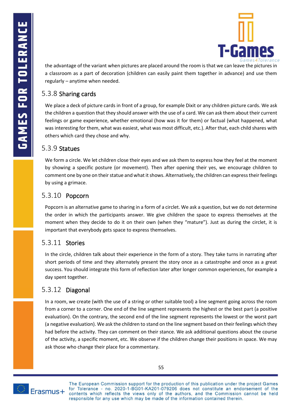

the advantage of the variant when pictures are placed around the room is that we can leave the pictures in a classroom as a part of decoration (children can easily paint them together in advance) and use them regularly – anytime when needed.

# <span id="page-58-0"></span>5.3.8 Sharing cards

We place a deck of picture cards in front of a group, for example Dixit or any children picture cards. We ask the children a question that they should answer with the use of a card. We can ask them about their current feelings or game experience, whether emotional (how was it for them) or factual (what happened, what was interesting for them, what was easiest, what was most difficult, etc.). After that, each child shares with others which card they chose and why.

### <span id="page-58-1"></span>5.3.9 Statues

We form a circle. We let children close their eyes and we ask them to express how they feel at the moment by showing a specific posture (or movement). Then after opening their yes, we encourage children to comment one by one on their statue and what it shows. Alternatively, the children can express their feelings by using a grimace.

# <span id="page-58-2"></span>5.3.10 Popcorn

Popcorn is an alternative game to sharing in a form of a circlet. We ask a question, but we do not determine the order in which the participants answer. We give children the space to express themselves at the moment when they decide to do it on their own (when they "mature"). Just as during the circlet, it is important that everybody gets space to express themselves.

# <span id="page-58-3"></span>5.3.11 Stories

In the circle, children talk about their experience in the form of a story. They take turns in narrating after short periods of time and they alternately present the story once as a catastrophe and once as a great success. You should integrate this form of reflection later after longer common experiences, for example a day spent together.

# <span id="page-58-4"></span>5.3.12 Diagonal

In a room, we create (with the use of a string or other suitable tool) a line segment going across the room from a corner to a corner. One end of the line segment represents the highest or the best part (a positive evaluation). On the contrary, the second end of the line segment represents the lowest or the worst part (a negative evaluation). We ask the children to stand on the line segment based on their feelings which they had before the activity. They can comment on their stance. We ask additional questions about the course of the activity, a specific moment, etc. We observe if the children change their positions in space. We may ask those who change their place for a commentary.

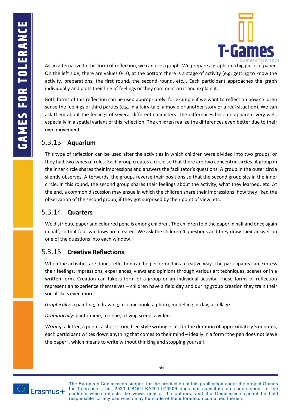

As an alternative to this form of reflection, we can use a graph. We prepare a graph on a big piece of paper. On the left side, there are values 0-10, at the bottom there is a stage of activity (e.g. getting to know the activity, preparations, the first round, the second round, etc.). Each participant approaches the graph individually and plots their line of feelings or they comment on it and explain it.

Both forms of this reflection can be used appropriately, for example if we want to reflect on how children sense the feelings of third parties (e.g. in a fairy-tale, a movie or another story or a real situation). We can ask them about the feelings of several different characters. The differences become apparent very well, especially in a spatial variant of this reflection. The children realize the differences even better due to their own movement.

### <span id="page-59-0"></span>5.3.13 **Aquarium**

This type of reflection can be used after the activities in which children were divided into two groups, or they had two types of roles. Each group creates a circle so that there are two concentric circles. A group in the inner circle shares their impressions and answers the facilitator's questions. A group in the outer circle silently observes. Afterwards, the groups reverse their positions so that the second group sits in the inner circle. In this round, the second group shares their feelings about the activity, what they learned, etc. At the end, a common discussion may ensue in which the children share their impressions: how they liked the observation of the second group, if they got surprised by their point of view, etc.

### <span id="page-59-1"></span>5.3.14 **Quarters**

We distribute paper and coloured pencils among children. The children fold the paper in half and once again in half, so that four windows are created. We ask the children 4 questions and they draw their answer on one of the questions into each window.

### <span id="page-59-2"></span>5.3.15 **Creative Reflections**

When the activities are done, reflection can be performed in a creative way. The participants can express their feelings, impressions, experiences, views and opinions through various art techniques, scenes or in a written form. Creation can take a form of a group or an individual activity. These forms of reflection represent an experience themselves – children have a field day and during group creation they train their social skills even more.

*Graphically*: a painting, a drawing, a comic book, a photo, modelling in clay, a collage

*Dramatically*: pantomime, a scene, a living scene, a video

*Writing*: a letter, a poem, a short story, free style writing – i.e. for the duration of approximately 5 minutes, each participant writes down anything that comes to their mind – ideally in a form "the pen does not leave the paper", which means to write without thinking and stopping yourself.

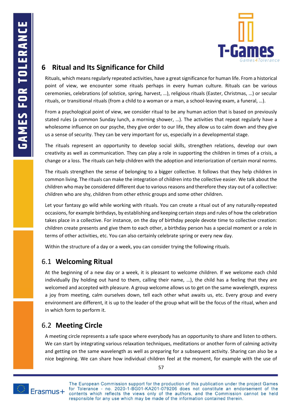

# <span id="page-60-0"></span>**6 Ritual and Its Significance for Child**

Rituals, which means regularly repeated activities, have a great significance for human life. From a historical point of view, we encounter some rituals perhaps in every human culture. Rituals can be various ceremonies, celebrations (of solstice, spring, harvest, …), religious rituals (Easter, Christmas, …) or secular rituals, or transitional rituals (from a child to a woman or a man, a school-leaving exam, a funeral, …).

From a psychological point of view, we consider ritual to be any human action that is based on previously stated rules (a common Sunday lunch, a morning shower, …). The activities that repeat regularly have a wholesome influence on our psyche, they give order to our life, they allow us to calm down and they give us a sense of security. They can be very important for us, especially in a developmental stage.

The rituals represent an opportunity to develop social skills, strengthen relations, develop our own creativity as well as communication. They can play a role in supporting the children in times of a crisis, a change or a loss. The rituals can help children with the adoption and interiorization of certain moral norms.

The rituals strengthen the sense of belonging to a bigger collective. It follows that they help children in common living. The rituals can make the integration of children into the collective easier. We talk about the children who may be considered different due to various reasons and therefore they stay out of a collective: children who are shy, children from other ethnic groups and some other children.

Let your fantasy go wild while working with rituals. You can create a ritual out of any naturally-repeated occasions, for example birthdays, by establishing and keeping certain steps and rules of how the celebration takes place in a collective. For instance, on the day of birthday people devote time to collective creation: children create presents and give them to each other, a birthday person has a special moment or a role in terms of other activities, etc. You can also certainly celebrate spring or every new day.

Within the structure of a day or a week, you can consider trying the following rituals.

### <span id="page-60-1"></span>6.1 **Welcoming Ritual**

At the beginning of a new day or a week, it is pleasant to welcome children. If we welcome each child individually (by holding out hand to them, calling their name, …), the child has a feeling that they are welcomed and accepted with pleasure. A group welcome allows us to get on the same wavelength, express a joy from meeting, calm ourselves down, tell each other what awaits us, etc. Every group and every environment are different, it is up to the leader of the group what will be the focus of the ritual, when and in which form to perform it.

# <span id="page-60-2"></span>6.2 **Meeting Circle**

A meeting circle represents a safe space where everybody has an opportunity to share and listen to others. We can start by integrating various relaxation techniques, meditations or another form of calming activity and getting on the same wavelength as well as preparing for a subsequent activity. Sharing can also be a nice beginning. We can share how individual children feel at the moment, for example with the use of